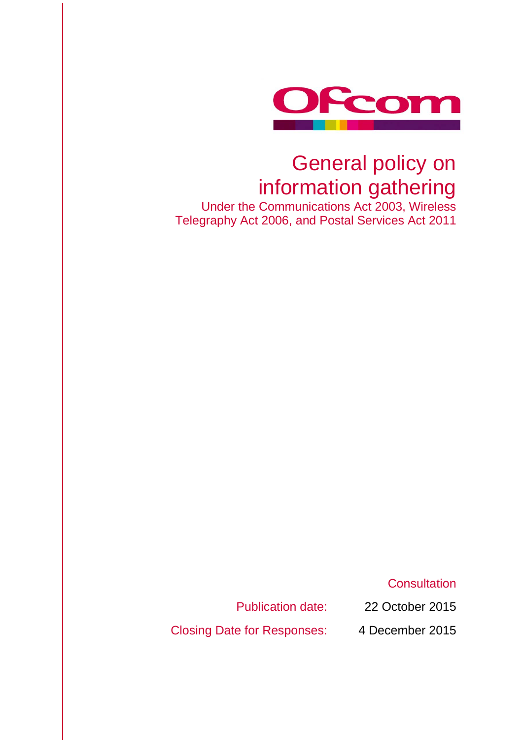

# General policy on information gathering

Under the Communications Act 2003, Wireless Telegraphy Act 2006, and Postal Services Act 2011

**Consultation** 

Publication date: 22 October 2015

Closing Date for Responses: 4 December 2015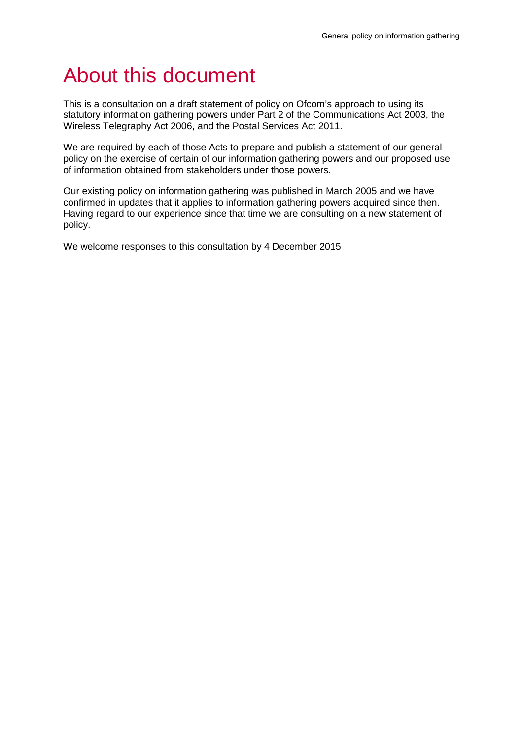# About this document

This is a consultation on a draft statement of policy on Ofcom's approach to using its statutory information gathering powers under Part 2 of the Communications Act 2003, the Wireless Telegraphy Act 2006, and the Postal Services Act 2011.

We are required by each of those Acts to prepare and publish a statement of our general policy on the exercise of certain of our information gathering powers and our proposed use of information obtained from stakeholders under those powers.

Our existing policy on information gathering was published in March 2005 and we have confirmed in updates that it applies to information gathering powers acquired since then. Having regard to our experience since that time we are consulting on a new statement of policy.

We welcome responses to this consultation by 4 December 2015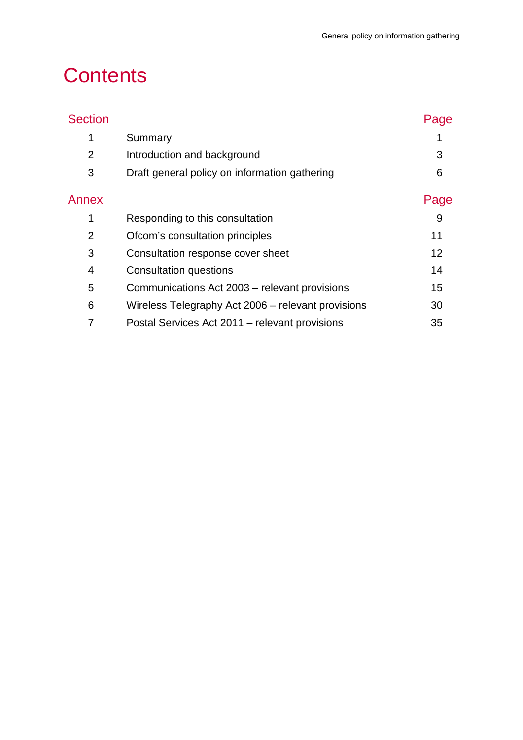# **Contents**

|                                                    | Page |
|----------------------------------------------------|------|
| Summary                                            |      |
| Introduction and background                        | 3    |
| Draft general policy on information gathering      | 6    |
|                                                    | Page |
| Responding to this consultation                    | 9    |
| Ofcom's consultation principles                    | 11   |
| Consultation response cover sheet                  | 12   |
| <b>Consultation questions</b>                      | 14   |
| Communications Act 2003 – relevant provisions      | 15   |
| Wireless Telegraphy Act 2006 – relevant provisions | 30   |
| Postal Services Act 2011 – relevant provisions     | 35   |
|                                                    |      |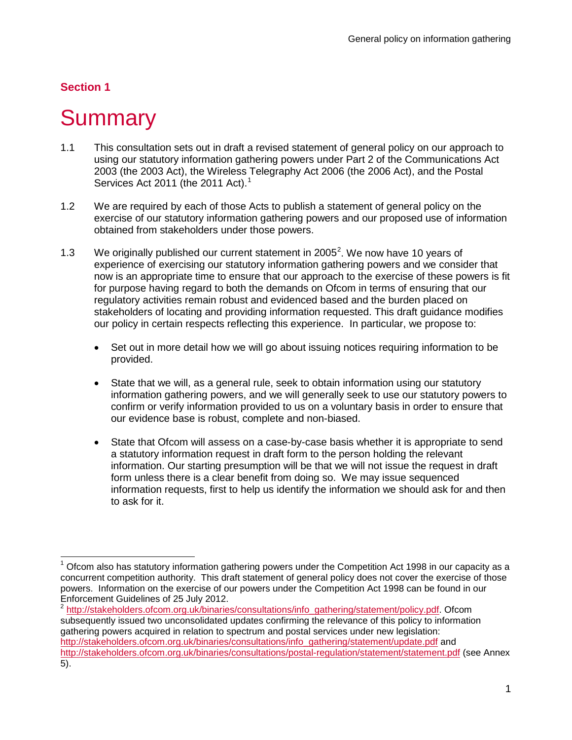# **Section 1**

# **Summary**

- <span id="page-3-0"></span>1.1 This consultation sets out in draft a revised statement of general policy on our approach to using our statutory information gathering powers under Part 2 of the Communications Act 2003 (the 2003 Act), the Wireless Telegraphy Act 2006 (the 2006 Act), and the Postal Services Act 20[1](#page-3-1)1 (the 2011 Act).<sup>1</sup>
- 1.2 We are required by each of those Acts to publish a statement of general policy on the exercise of our statutory information gathering powers and our proposed use of information obtained from stakeholders under those powers.
- 1.3 We originally published our current statement in [2](#page-3-2)005 $^2$ . We now have 10 years of experience of exercising our statutory information gathering powers and we consider that now is an appropriate time to ensure that our approach to the exercise of these powers is fit for purpose having regard to both the demands on Ofcom in terms of ensuring that our regulatory activities remain robust and evidenced based and the burden placed on stakeholders of locating and providing information requested. This draft guidance modifies our policy in certain respects reflecting this experience. In particular, we propose to:
	- Set out in more detail how we will go about issuing notices requiring information to be provided.
	- State that we will, as a general rule, seek to obtain information using our statutory information gathering powers, and we will generally seek to use our statutory powers to confirm or verify information provided to us on a voluntary basis in order to ensure that our evidence base is robust, complete and non-biased.
	- State that Ofcom will assess on a case-by-case basis whether it is appropriate to send a statutory information request in draft form to the person holding the relevant information. Our starting presumption will be that we will not issue the request in draft form unless there is a clear benefit from doing so. We may issue sequenced information requests, first to help us identify the information we should ask for and then to ask for it.

<span id="page-3-1"></span> $1$  Ofcom also has statutory information gathering powers under the Competition Act 1998 in our capacity as a concurrent competition authority. This draft statement of general policy does not cover the exercise of those powers. Information on the exercise of our powers under the Competition Act 1998 can be found in our Enforcement Guidelines of 25 July 2012.  $\overline{a}$ 

<span id="page-3-2"></span>[http://stakeholders.ofcom.org.uk/binaries/consultations/info\\_gathering/statement/policy.pdf.](http://stakeholders.ofcom.org.uk/binaries/consultations/info_gathering/statement/policy.pdf) Ofcom subsequently issued two unconsolidated updates confirming the relevance of this policy to information gathering powers acquired in relation to spectrum and postal services under new legislation: [http://stakeholders.ofcom.org.uk/binaries/consultations/info\\_gathering/statement/update.pdf](http://stakeholders.ofcom.org.uk/binaries/consultations/info_gathering/statement/update.pdf) and <http://stakeholders.ofcom.org.uk/binaries/consultations/postal-regulation/statement/statement.pdf> (see Annex 5).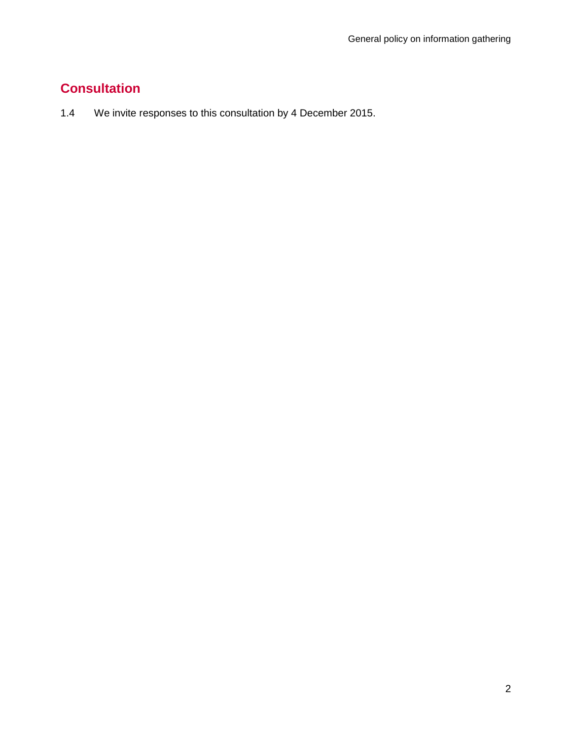# **Consultation**

1.4 We invite responses to this consultation by 4 December 2015.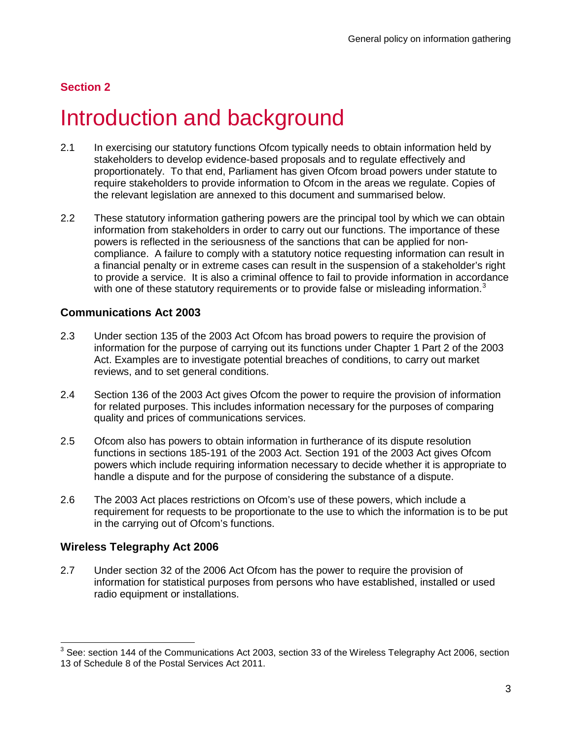# **Section 2**

# Introduction and background

- <span id="page-5-0"></span>2.1 In exercising our statutory functions Ofcom typically needs to obtain information held by stakeholders to develop evidence-based proposals and to regulate effectively and proportionately. To that end, Parliament has given Ofcom broad powers under statute to require stakeholders to provide information to Ofcom in the areas we regulate. Copies of the relevant legislation are annexed to this document and summarised below.
- 2.2 These statutory information gathering powers are the principal tool by which we can obtain information from stakeholders in order to carry out our functions. The importance of these powers is reflected in the seriousness of the sanctions that can be applied for noncompliance. A failure to comply with a statutory notice requesting information can result in a financial penalty or in extreme cases can result in the suspension of a stakeholder's right to provide a service. It is also a criminal offence to fail to provide information in accordance with one of these statutory requirements or to provide false or misleading information.<sup>[3](#page-5-1)</sup>

## **Communications Act 2003**

- 2.3 Under section 135 of the 2003 Act Ofcom has broad powers to require the provision of information for the purpose of carrying out its functions under Chapter 1 Part 2 of the 2003 Act. Examples are to investigate potential breaches of conditions, to carry out market reviews, and to set general conditions.
- 2.4 Section 136 of the 2003 Act gives Ofcom the power to require the provision of information for related purposes. This includes information necessary for the purposes of comparing quality and prices of communications services.
- 2.5 Ofcom also has powers to obtain information in furtherance of its dispute resolution functions in sections 185-191 of the 2003 Act. Section 191 of the 2003 Act gives Ofcom powers which include requiring information necessary to decide whether it is appropriate to handle a dispute and for the purpose of considering the substance of a dispute.
- 2.6 The 2003 Act places restrictions on Ofcom's use of these powers, which include a requirement for requests to be proportionate to the use to which the information is to be put in the carrying out of Ofcom's functions.

## **Wireless Telegraphy Act 2006**

2.7 Under section 32 of the 2006 Act Ofcom has the power to require the provision of information for statistical purposes from persons who have established, installed or used radio equipment or installations.

<span id="page-5-1"></span> $3$  See: section 144 of the Communications Act 2003, section 33 of the Wireless Telegraphy Act 2006, section 13 of Schedule 8 of the Postal Services Act 2011.  $\overline{\phantom{0}}$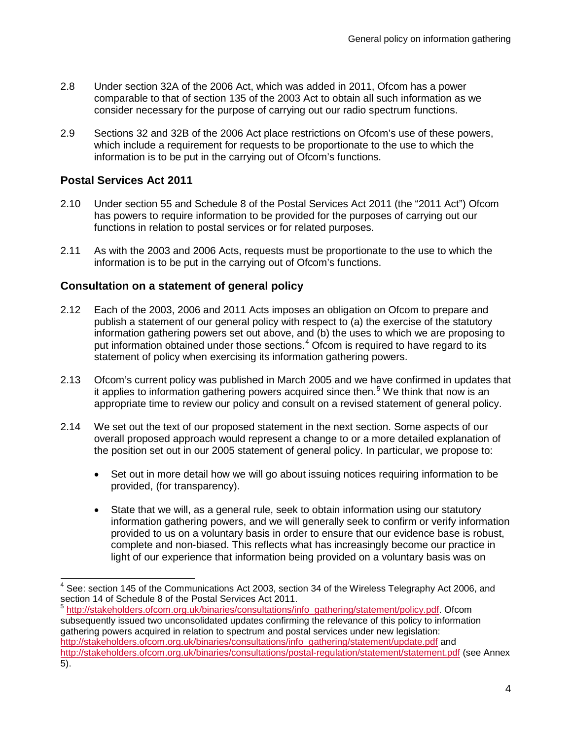- 2.8 Under section 32A of the 2006 Act, which was added in 2011, Ofcom has a power comparable to that of section 135 of the 2003 Act to obtain all such information as we consider necessary for the purpose of carrying out our radio spectrum functions.
- 2.9 Sections 32 and 32B of the 2006 Act place restrictions on Ofcom's use of these powers, which include a requirement for requests to be proportionate to the use to which the information is to be put in the carrying out of Ofcom's functions.

## **Postal Services Act 2011**

- 2.10 Under section 55 and Schedule 8 of the Postal Services Act 2011 (the "2011 Act") Ofcom has powers to require information to be provided for the purposes of carrying out our functions in relation to postal services or for related purposes.
- 2.11 As with the 2003 and 2006 Acts, requests must be proportionate to the use to which the information is to be put in the carrying out of Ofcom's functions.

## **Consultation on a statement of general policy**

- 2.12 Each of the 2003, 2006 and 2011 Acts imposes an obligation on Ofcom to prepare and publish a statement of our general policy with respect to (a) the exercise of the statutory information gathering powers set out above, and (b) the uses to which we are proposing to put information obtained under those sections.<sup>[4](#page-6-0)</sup> Ofcom is required to have regard to its statement of policy when exercising its information gathering powers.
- 2.13 Ofcom's current policy was published in March 2005 and we have confirmed in updates that it applies to information gathering powers acquired since then.<sup>[5](#page-6-1)</sup> We think that now is an appropriate time to review our policy and consult on a revised statement of general policy.
- 2.14 We set out the text of our proposed statement in the next section. Some aspects of our overall proposed approach would represent a change to or a more detailed explanation of the position set out in our 2005 statement of general policy. In particular, we propose to:
	- Set out in more detail how we will go about issuing notices requiring information to be provided, (for transparency).
	- State that we will, as a general rule, seek to obtain information using our statutory information gathering powers, and we will generally seek to confirm or verify information provided to us on a voluntary basis in order to ensure that our evidence base is robust, complete and non-biased. This reflects what has increasingly become our practice in light of our experience that information being provided on a voluntary basis was on

<span id="page-6-0"></span> $4$  See: section 145 of the Communications Act 2003, section 34 of the Wireless Telegraphy Act 2006, and section 14 of Schedule 8 of the Postal Services Act 2011.  $\overline{1}$ 

<span id="page-6-1"></span>[http://stakeholders.ofcom.org.uk/binaries/consultations/info\\_gathering/statement/policy.pdf.](http://stakeholders.ofcom.org.uk/binaries/consultations/info_gathering/statement/policy.pdf) Ofcom subsequently issued two unconsolidated updates confirming the relevance of this policy to information gathering powers acquired in relation to spectrum and postal services under new legislation: [http://stakeholders.ofcom.org.uk/binaries/consultations/info\\_gathering/statement/update.pdf](http://stakeholders.ofcom.org.uk/binaries/consultations/info_gathering/statement/update.pdf) and <http://stakeholders.ofcom.org.uk/binaries/consultations/postal-regulation/statement/statement.pdf> (see Annex 5).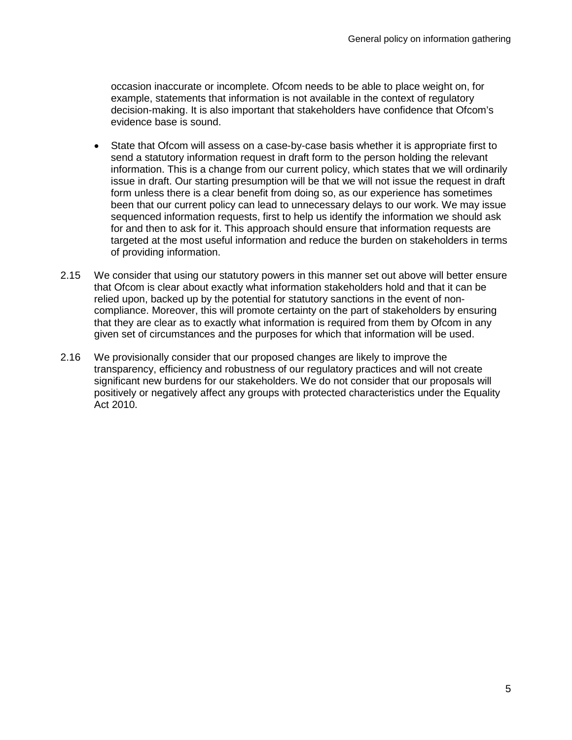occasion inaccurate or incomplete. Ofcom needs to be able to place weight on, for example, statements that information is not available in the context of regulatory decision-making. It is also important that stakeholders have confidence that Ofcom's evidence base is sound.

- State that Ofcom will assess on a case-by-case basis whether it is appropriate first to send a statutory information request in draft form to the person holding the relevant information. This is a change from our current policy, which states that we will ordinarily issue in draft. Our starting presumption will be that we will not issue the request in draft form unless there is a clear benefit from doing so, as our experience has sometimes been that our current policy can lead to unnecessary delays to our work. We may issue sequenced information requests, first to help us identify the information we should ask for and then to ask for it. This approach should ensure that information requests are targeted at the most useful information and reduce the burden on stakeholders in terms of providing information.
- 2.15 We consider that using our statutory powers in this manner set out above will better ensure that Ofcom is clear about exactly what information stakeholders hold and that it can be relied upon, backed up by the potential for statutory sanctions in the event of noncompliance. Moreover, this will promote certainty on the part of stakeholders by ensuring that they are clear as to exactly what information is required from them by Ofcom in any given set of circumstances and the purposes for which that information will be used.
- 2.16 We provisionally consider that our proposed changes are likely to improve the transparency, efficiency and robustness of our regulatory practices and will not create significant new burdens for our stakeholders. We do not consider that our proposals will positively or negatively affect any groups with protected characteristics under the Equality Act 2010.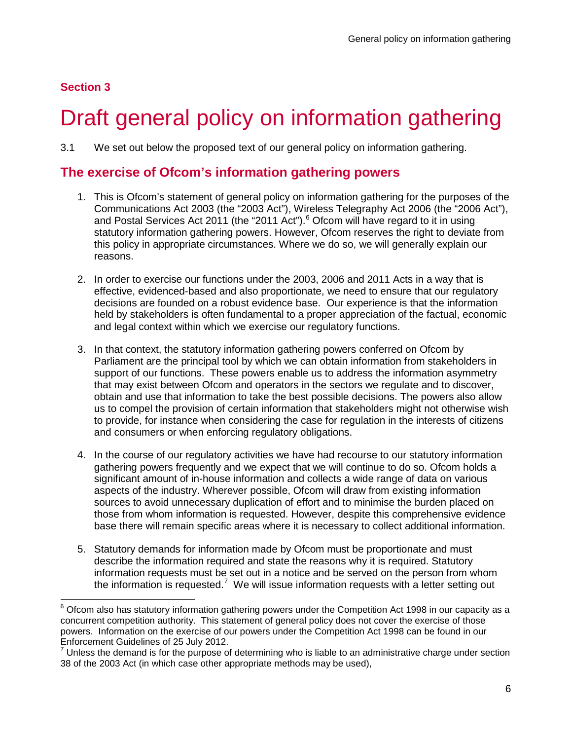# **Section 3**

# Draft general policy on information gathering

<span id="page-8-0"></span>3.1 We set out below the proposed text of our general policy on information gathering.

# **The exercise of Ofcom's information gathering powers**

- 1. This is Ofcom's statement of general policy on information gathering for the purposes of the Communications Act 2003 (the "2003 Act"), Wireless Telegraphy Act 2006 (the "2006 Act"), and Postal Services Act 2011 (the "2011 Act").<sup>[6](#page-8-1)</sup> Ofcom will have regard to it in using statutory information gathering powers. However, Ofcom reserves the right to deviate from this policy in appropriate circumstances. Where we do so, we will generally explain our reasons.
- 2. In order to exercise our functions under the 2003, 2006 and 2011 Acts in a way that is effective, evidenced-based and also proportionate, we need to ensure that our regulatory decisions are founded on a robust evidence base. Our experience is that the information held by stakeholders is often fundamental to a proper appreciation of the factual, economic and legal context within which we exercise our regulatory functions.
- 3. In that context, the statutory information gathering powers conferred on Ofcom by Parliament are the principal tool by which we can obtain information from stakeholders in support of our functions. These powers enable us to address the information asymmetry that may exist between Ofcom and operators in the sectors we regulate and to discover, obtain and use that information to take the best possible decisions. The powers also allow us to compel the provision of certain information that stakeholders might not otherwise wish to provide, for instance when considering the case for regulation in the interests of citizens and consumers or when enforcing regulatory obligations.
- 4. In the course of our regulatory activities we have had recourse to our statutory information gathering powers frequently and we expect that we will continue to do so. Ofcom holds a significant amount of in-house information and collects a wide range of data on various aspects of the industry. Wherever possible, Ofcom will draw from existing information sources to avoid unnecessary duplication of effort and to minimise the burden placed on those from whom information is requested. However, despite this comprehensive evidence base there will remain specific areas where it is necessary to collect additional information.
- 5. Statutory demands for information made by Ofcom must be proportionate and must describe the information required and state the reasons why it is required. Statutory information requests must be set out in a notice and be served on the person from whom the information is requested.<sup>[7](#page-8-2)</sup> We will issue information requests with a letter setting out

<span id="page-8-1"></span> $^6$  Ofcom also has statutory information gathering powers under the Competition Act 1998 in our capacity as a concurrent competition authority. This statement of general policy does not cover the exercise of those powers. Information on the exercise of our powers under the Competition Act 1998 can be found in our Enforcement Guidelines of 25 July 2012.  $\overline{a}$ 

<span id="page-8-2"></span> $<sup>7</sup>$  Unless the demand is for the purpose of determining who is liable to an administrative charge under section</sup> 38 of the 2003 Act (in which case other appropriate methods may be used),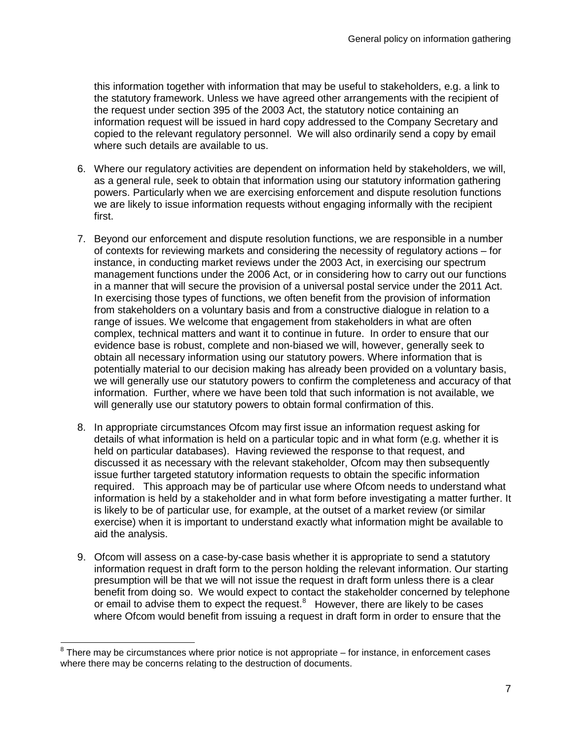this information together with information that may be useful to stakeholders, e.g. a link to the statutory framework. Unless we have agreed other arrangements with the recipient of the request under section 395 of the 2003 Act, the statutory notice containing an information request will be issued in hard copy addressed to the Company Secretary and copied to the relevant regulatory personnel. We will also ordinarily send a copy by email where such details are available to us.

- 6. Where our regulatory activities are dependent on information held by stakeholders, we will, as a general rule, seek to obtain that information using our statutory information gathering powers. Particularly when we are exercising enforcement and dispute resolution functions we are likely to issue information requests without engaging informally with the recipient first.
- 7. Beyond our enforcement and dispute resolution functions, we are responsible in a number of contexts for reviewing markets and considering the necessity of regulatory actions – for instance, in conducting market reviews under the 2003 Act, in exercising our spectrum management functions under the 2006 Act, or in considering how to carry out our functions in a manner that will secure the provision of a universal postal service under the 2011 Act. In exercising those types of functions, we often benefit from the provision of information from stakeholders on a voluntary basis and from a constructive dialogue in relation to a range of issues. We welcome that engagement from stakeholders in what are often complex, technical matters and want it to continue in future. In order to ensure that our evidence base is robust, complete and non-biased we will, however, generally seek to obtain all necessary information using our statutory powers. Where information that is potentially material to our decision making has already been provided on a voluntary basis, we will generally use our statutory powers to confirm the completeness and accuracy of that information. Further, where we have been told that such information is not available, we will generally use our statutory powers to obtain formal confirmation of this.
- 8. In appropriate circumstances Ofcom may first issue an information request asking for details of what information is held on a particular topic and in what form (e.g. whether it is held on particular databases). Having reviewed the response to that request, and discussed it as necessary with the relevant stakeholder, Ofcom may then subsequently issue further targeted statutory information requests to obtain the specific information required. This approach may be of particular use where Ofcom needs to understand what information is held by a stakeholder and in what form before investigating a matter further. It is likely to be of particular use, for example, at the outset of a market review (or similar exercise) when it is important to understand exactly what information might be available to aid the analysis.
- 9. Ofcom will assess on a case-by-case basis whether it is appropriate to send a statutory information request in draft form to the person holding the relevant information. Our starting presumption will be that we will not issue the request in draft form unless there is a clear benefit from doing so. We would expect to contact the stakeholder concerned by telephone or email to advise them to expect the request.<sup>[8](#page-9-0)</sup> However, there are likely to be cases where Ofcom would benefit from issuing a request in draft form in order to ensure that the

<span id="page-9-0"></span> $8$  There may be circumstances where prior notice is not appropriate – for instance, in enforcement cases where there may be concerns relating to the destruction of documents.  $\overline{\phantom{0}}$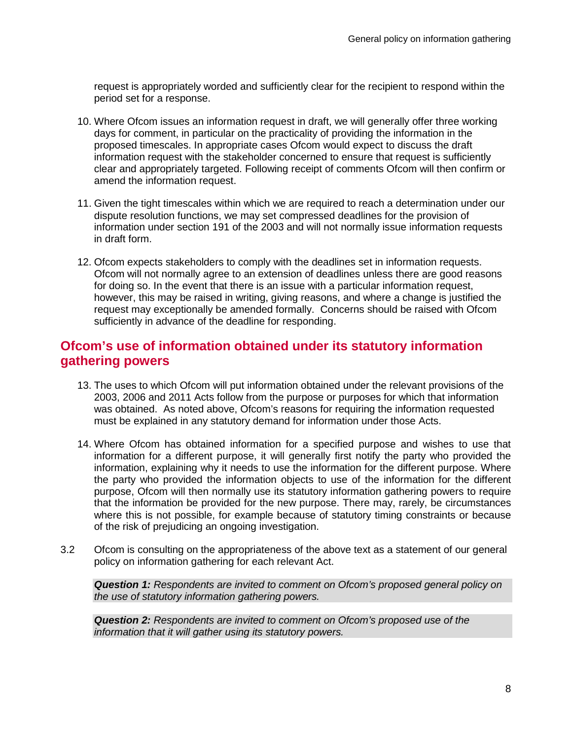request is appropriately worded and sufficiently clear for the recipient to respond within the period set for a response.

- 10. Where Ofcom issues an information request in draft, we will generally offer three working days for comment, in particular on the practicality of providing the information in the proposed timescales. In appropriate cases Ofcom would expect to discuss the draft information request with the stakeholder concerned to ensure that request is sufficiently clear and appropriately targeted. Following receipt of comments Ofcom will then confirm or amend the information request.
- 11. Given the tight timescales within which we are required to reach a determination under our dispute resolution functions, we may set compressed deadlines for the provision of information under section 191 of the 2003 and will not normally issue information requests in draft form.
- 12. Ofcom expects stakeholders to comply with the deadlines set in information requests. Ofcom will not normally agree to an extension of deadlines unless there are good reasons for doing so. In the event that there is an issue with a particular information request, however, this may be raised in writing, giving reasons, and where a change is justified the request may exceptionally be amended formally. Concerns should be raised with Ofcom sufficiently in advance of the deadline for responding.

# **Ofcom's use of information obtained under its statutory information gathering powers**

- 13. The uses to which Ofcom will put information obtained under the relevant provisions of the 2003, 2006 and 2011 Acts follow from the purpose or purposes for which that information was obtained. As noted above, Ofcom's reasons for requiring the information requested must be explained in any statutory demand for information under those Acts.
- 14. Where Ofcom has obtained information for a specified purpose and wishes to use that information for a different purpose, it will generally first notify the party who provided the information, explaining why it needs to use the information for the different purpose. Where the party who provided the information objects to use of the information for the different purpose, Ofcom will then normally use its statutory information gathering powers to require that the information be provided for the new purpose. There may, rarely, be circumstances where this is not possible, for example because of statutory timing constraints or because of the risk of prejudicing an ongoing investigation.
- 3.2 Ofcom is consulting on the appropriateness of the above text as a statement of our general policy on information gathering for each relevant Act.

*Question 1: Respondents are invited to comment on Ofcom's proposed general policy on the use of statutory information gathering powers.*

*Question 2: Respondents are invited to comment on Ofcom's proposed use of the information that it will gather using its statutory powers.*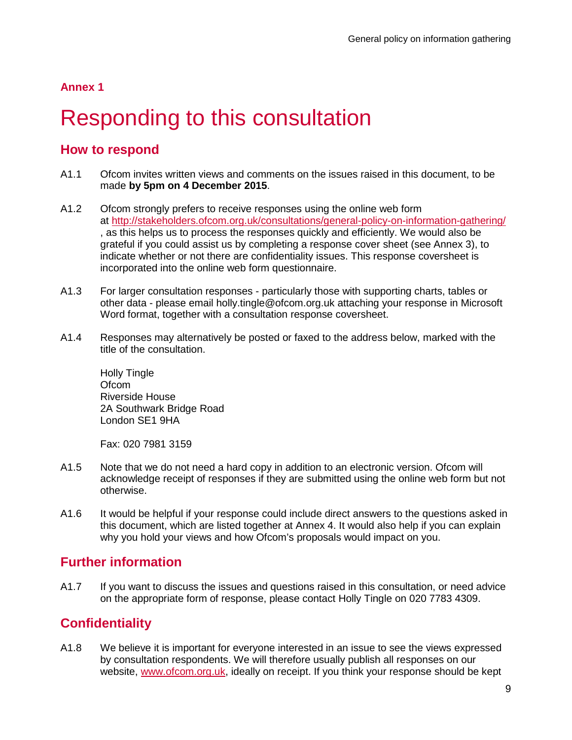## **Annex 1**

# **Responding to this consultation**

# <span id="page-11-0"></span>**How to respond**

- A1.1 Ofcom invites written views and comments on the issues raised in this document, to be made **by 5pm on 4 December 2015**.
- A1.2 Ofcom strongly prefers to receive responses using the online web form at<http://stakeholders.ofcom.org.uk/consultations/general-policy-on-information-gathering/> , as this helps us to process the responses quickly and efficiently. We would also be grateful if you could assist us by completing a response cover sheet (see Annex 3), to indicate whether or not there are confidentiality issues. This response coversheet is incorporated into the online web form questionnaire.
- A1.3 For larger consultation responses particularly those with supporting charts, tables or other data - please email holly.tingle@ofcom.org.uk attaching your response in Microsoft Word format, together with a consultation response coversheet.
- A1.4 Responses may alternatively be posted or faxed to the address below, marked with the title of the consultation.

Holly Tingle Of<sub>com</sub> Riverside House 2A Southwark Bridge Road London SE1 9HA

Fax: 020 7981 3159

- A1.5 Note that we do not need a hard copy in addition to an electronic version. Ofcom will acknowledge receipt of responses if they are submitted using the online web form but not otherwise.
- A1.6 It would be helpful if your response could include direct answers to the questions asked in this document, which are listed together at Annex 4. It would also help if you can explain why you hold your views and how Ofcom's proposals would impact on you.

# **Further information**

A1.7 If you want to discuss the issues and questions raised in this consultation, or need advice on the appropriate form of response, please contact Holly Tingle on 020 7783 4309.

# **Confidentiality**

A1.8 We believe it is important for everyone interested in an issue to see the views expressed by consultation respondents. We will therefore usually publish all responses on our website, [www.ofcom.org.uk,](http://www.ofcom.org.uk/) ideally on receipt. If you think your response should be kept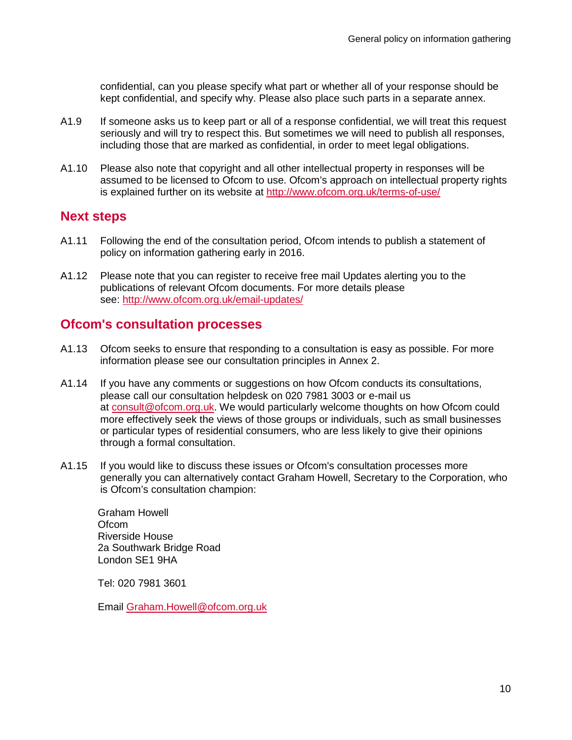confidential, can you please specify what part or whether all of your response should be kept confidential, and specify why. Please also place such parts in a separate annex.

- A1.9 If someone asks us to keep part or all of a response confidential, we will treat this request seriously and will try to respect this. But sometimes we will need to publish all responses, including those that are marked as confidential, in order to meet legal obligations.
- A1.10 Please also note that copyright and all other intellectual property in responses will be assumed to be licensed to Ofcom to use. Ofcom's approach on intellectual property rights is explained further on its website at <http://www.ofcom.org.uk/terms-of-use/>

## **Next steps**

- A1.11 Following the end of the consultation period, Ofcom intends to publish a statement of policy on information gathering early in 2016.
- A1.12 Please note that you can register to receive free mail Updates alerting you to the publications of relevant Ofcom documents. For more details please see:<http://www.ofcom.org.uk/email-updates/>

## **Ofcom's consultation processes**

- A1.13 Ofcom seeks to ensure that responding to a consultation is easy as possible. For more information please see our consultation principles in Annex 2.
- A1.14 If you have any comments or suggestions on how Ofcom conducts its consultations, please call our consultation helpdesk on 020 7981 3003 or e-mail us at [consult@ofcom.org.uk.](mailto:consult@ofcom.org.uk) We would particularly welcome thoughts on how Ofcom could more effectively seek the views of those groups or individuals, such as small businesses or particular types of residential consumers, who are less likely to give their opinions through a formal consultation.
- A1.15 If you would like to discuss these issues or Ofcom's consultation processes more generally you can alternatively contact Graham Howell, Secretary to the Corporation, who is Ofcom's consultation champion:

Graham Howell **Ofcom** Riverside House 2a Southwark Bridge Road London SE1 9HA

Tel: 020 7981 3601

Email [Graham.Howell@ofcom.org.uk](mailto:Graham.Howell@ofcom.org.uk)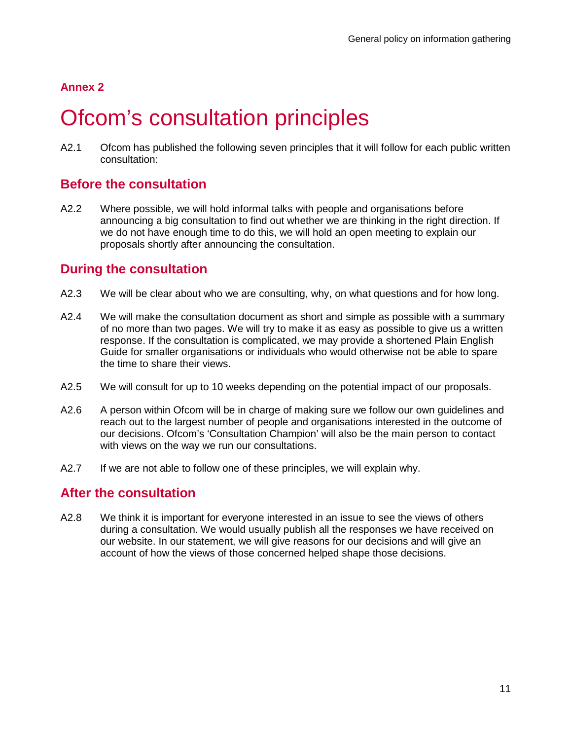## **Annex 2**

# Ofcom's consultation principles

<span id="page-13-0"></span>A2.1 Ofcom has published the following seven principles that it will follow for each public written consultation:

# **Before the consultation**

A2.2 Where possible, we will hold informal talks with people and organisations before announcing a big consultation to find out whether we are thinking in the right direction. If we do not have enough time to do this, we will hold an open meeting to explain our proposals shortly after announcing the consultation.

## **During the consultation**

- A2.3 We will be clear about who we are consulting, why, on what questions and for how long.
- A2.4 We will make the consultation document as short and simple as possible with a summary of no more than two pages. We will try to make it as easy as possible to give us a written response. If the consultation is complicated, we may provide a shortened Plain English Guide for smaller organisations or individuals who would otherwise not be able to spare the time to share their views.
- A2.5 We will consult for up to 10 weeks depending on the potential impact of our proposals.
- A2.6 A person within Ofcom will be in charge of making sure we follow our own guidelines and reach out to the largest number of people and organisations interested in the outcome of our decisions. Ofcom's 'Consultation Champion' will also be the main person to contact with views on the way we run our consultations.
- A2.7 If we are not able to follow one of these principles, we will explain why.

## **After the consultation**

A2.8 We think it is important for everyone interested in an issue to see the views of others during a consultation. We would usually publish all the responses we have received on our website. In our statement, we will give reasons for our decisions and will give an account of how the views of those concerned helped shape those decisions.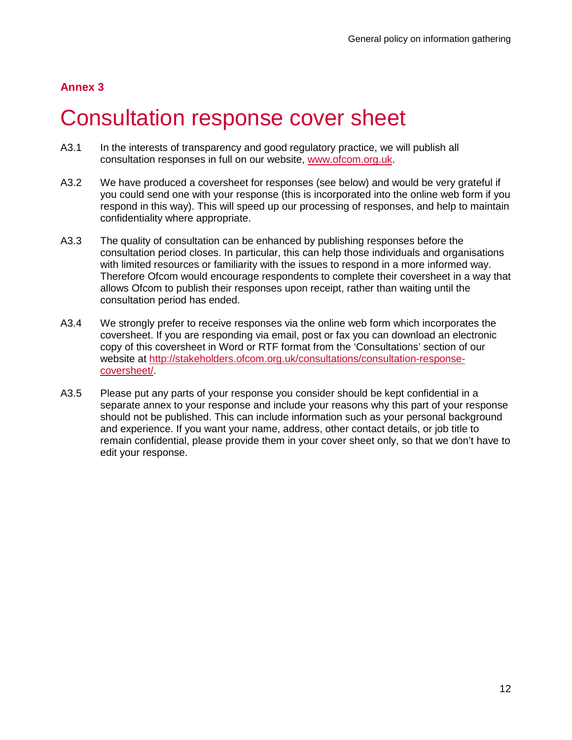# **Annex 3**

# Consultation response cover sheet

- <span id="page-14-0"></span>A3.1 In the interests of transparency and good regulatory practice, we will publish all consultation responses in full on our website, [www.ofcom.org.uk.](http://www.ofcom.org.uk/)
- A3.2 We have produced a coversheet for responses (see below) and would be very grateful if you could send one with your response (this is incorporated into the online web form if you respond in this way). This will speed up our processing of responses, and help to maintain confidentiality where appropriate.
- A3.3 The quality of consultation can be enhanced by publishing responses before the consultation period closes. In particular, this can help those individuals and organisations with limited resources or familiarity with the issues to respond in a more informed way. Therefore Ofcom would encourage respondents to complete their coversheet in a way that allows Ofcom to publish their responses upon receipt, rather than waiting until the consultation period has ended.
- A3.4 We strongly prefer to receive responses via the online web form which incorporates the coversheet. If you are responding via email, post or fax you can download an electronic copy of this coversheet in Word or RTF format from the 'Consultations' section of our website at [http://stakeholders.ofcom.org.uk/consultations/consultation-response](http://stakeholders.ofcom.org.uk/consultations/consultation-response-coversheet/)[coversheet/.](http://stakeholders.ofcom.org.uk/consultations/consultation-response-coversheet/)
- A3.5 Please put any parts of your response you consider should be kept confidential in a separate annex to your response and include your reasons why this part of your response should not be published. This can include information such as your personal background and experience. If you want your name, address, other contact details, or job title to remain confidential, please provide them in your cover sheet only, so that we don't have to edit your response.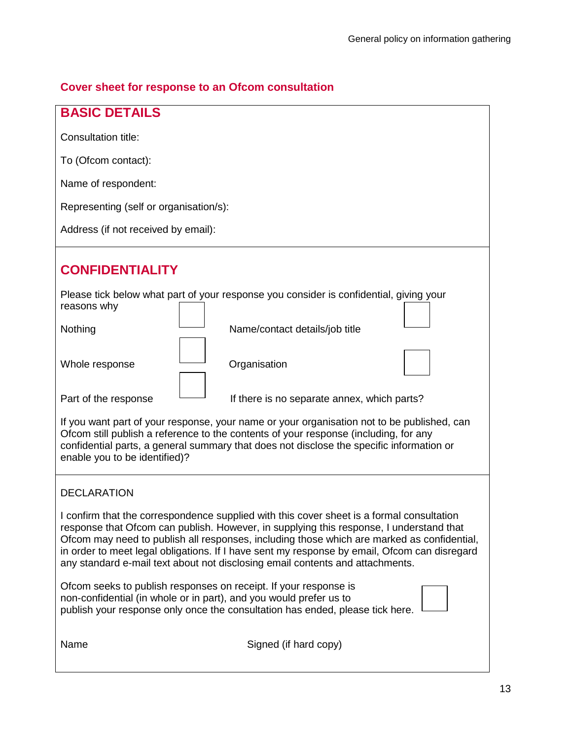# **Cover sheet for response to an Ofcom consultation**

| <b>BASIC DETAILS</b>                                                                                                                                                                                                                                                                                                                                                                                                                                                |  |
|---------------------------------------------------------------------------------------------------------------------------------------------------------------------------------------------------------------------------------------------------------------------------------------------------------------------------------------------------------------------------------------------------------------------------------------------------------------------|--|
| Consultation title:                                                                                                                                                                                                                                                                                                                                                                                                                                                 |  |
| To (Ofcom contact):                                                                                                                                                                                                                                                                                                                                                                                                                                                 |  |
| Name of respondent:                                                                                                                                                                                                                                                                                                                                                                                                                                                 |  |
| Representing (self or organisation/s):                                                                                                                                                                                                                                                                                                                                                                                                                              |  |
| Address (if not received by email):                                                                                                                                                                                                                                                                                                                                                                                                                                 |  |
| <b>CONFIDENTIALITY</b>                                                                                                                                                                                                                                                                                                                                                                                                                                              |  |
| Please tick below what part of your response you consider is confidential, giving your<br>reasons why                                                                                                                                                                                                                                                                                                                                                               |  |
| Name/contact details/job title<br>Nothing                                                                                                                                                                                                                                                                                                                                                                                                                           |  |
| Whole response<br>Organisation                                                                                                                                                                                                                                                                                                                                                                                                                                      |  |
| Part of the response<br>If there is no separate annex, which parts?                                                                                                                                                                                                                                                                                                                                                                                                 |  |
| If you want part of your response, your name or your organisation not to be published, can<br>Ofcom still publish a reference to the contents of your response (including, for any<br>confidential parts, a general summary that does not disclose the specific information or<br>enable you to be identified)?                                                                                                                                                     |  |
| <b>DECLARATION</b>                                                                                                                                                                                                                                                                                                                                                                                                                                                  |  |
| I confirm that the correspondence supplied with this cover sheet is a formal consultation<br>response that Ofcom can publish. However, in supplying this response, I understand that<br>Ofcom may need to publish all responses, including those which are marked as confidential,<br>in order to meet legal obligations. If I have sent my response by email, Ofcom can disregard<br>any standard e-mail text about not disclosing email contents and attachments. |  |
| Ofcom seeks to publish responses on receipt. If your response is<br>non-confidential (in whole or in part), and you would prefer us to<br>publish your response only once the consultation has ended, please tick here.                                                                                                                                                                                                                                             |  |
| Name<br>Signed (if hard copy)                                                                                                                                                                                                                                                                                                                                                                                                                                       |  |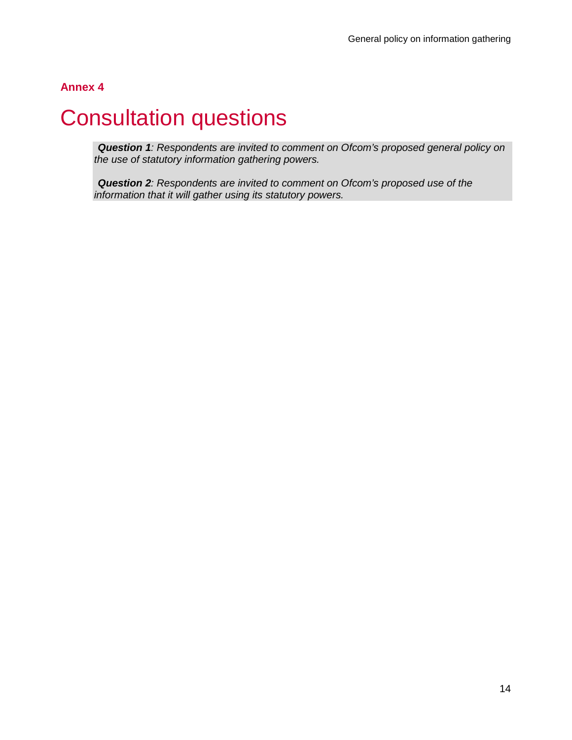## **Annex 4**

# **Consultation questions**

<span id="page-16-0"></span>*Question 1: Respondents are invited to comment on Ofcom's proposed general policy on the use of statutory information gathering powers.*

*Question 2: Respondents are invited to comment on Ofcom's proposed use of the information that it will gather using its statutory powers.*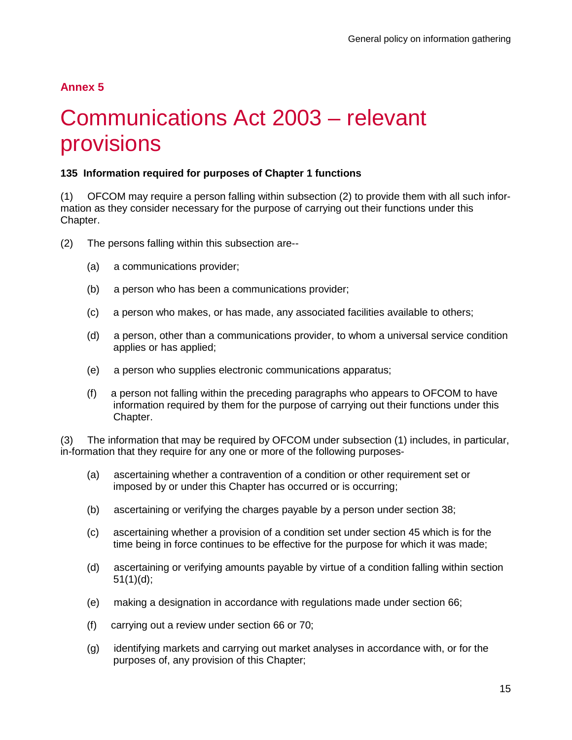## **Annex 5**

# 5 Communications Act 2003 – relevant provisions

## <span id="page-17-0"></span>**135 Information required for purposes of Chapter 1 functions**

(1) OFCOM may require a person falling within subsection (2) to provide them with all such information as they consider necessary for the purpose of carrying out their functions under this Chapter.

- (2) The persons falling within this subsection are--
	- (a) a communications provider;
	- (b) a person who has been a communications provider;
	- (c) a person who makes, or has made, any associated facilities available to others;
	- (d) a person, other than a communications provider, to whom a universal service condition applies or has applied;
	- (e) a person who supplies electronic communications apparatus;
	- (f) a person not falling within the preceding paragraphs who appears to OFCOM to have information required by them for the purpose of carrying out their functions under this Chapter.

(3) The information that may be required by OFCOM under subsection (1) includes, in particular, in-formation that they require for any one or more of the following purposes-

- (a) ascertaining whether a contravention of a condition or other requirement set or imposed by or under this Chapter has occurred or is occurring;
- (b) ascertaining or verifying the charges payable by a person under section 38;
- (c) ascertaining whether a provision of a condition set under section 45 which is for the time being in force continues to be effective for the purpose for which it was made;
- (d) ascertaining or verifying amounts payable by virtue of a condition falling within section 51(1)(d);
- (e) making a designation in accordance with regulations made under section 66;
- (f) carrying out a review under section 66 or 70;
- (g) identifying markets and carrying out market analyses in accordance with, or for the purposes of, any provision of this Chapter;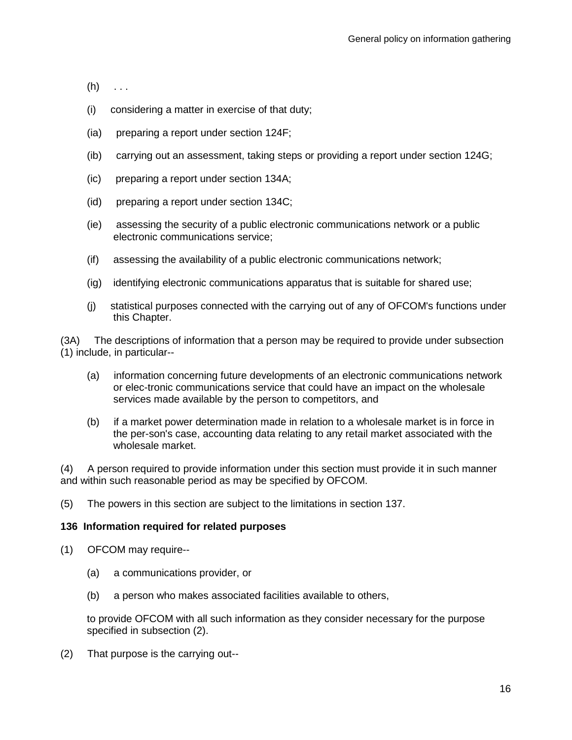- $(h)$  . . .
- (i) considering a matter in exercise of that duty;
- (ia) preparing a report under section 124F;
- (ib) carrying out an assessment, taking steps or providing a report under section 124G;
- (ic) preparing a report under section 134A;
- (id) preparing a report under section 134C;
- (ie) assessing the security of a public electronic communications network or a public electronic communications service;
- (if) assessing the availability of a public electronic communications network;
- (ig) identifying electronic communications apparatus that is suitable for shared use;
- (j) statistical purposes connected with the carrying out of any of OFCOM's functions under this Chapter.

(3A) The descriptions of information that a person may be required to provide under subsection (1) include, in particular--

- (a) information concerning future developments of an electronic communications network or elec-tronic communications service that could have an impact on the wholesale services made available by the person to competitors, and
- (b) if a market power determination made in relation to a wholesale market is in force in the per-son's case, accounting data relating to any retail market associated with the wholesale market.

(4) A person required to provide information under this section must provide it in such manner and within such reasonable period as may be specified by OFCOM.

(5) The powers in this section are subject to the limitations in section 137.

## **136 Information required for related purposes**

- (1) OFCOM may require--
	- (a) a communications provider, or
	- (b) a person who makes associated facilities available to others,

to provide OFCOM with all such information as they consider necessary for the purpose specified in subsection (2).

(2) That purpose is the carrying out--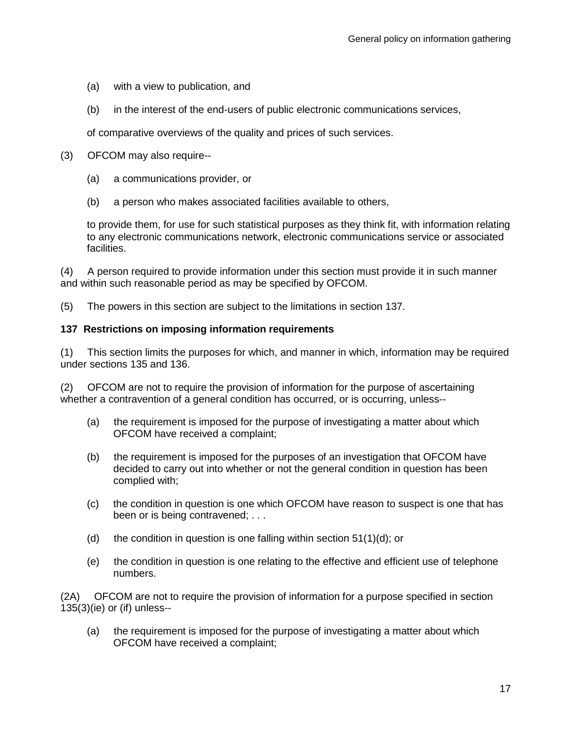- (a) with a view to publication, and
- (b) in the interest of the end-users of public electronic communications services,

of comparative overviews of the quality and prices of such services.

- (3) OFCOM may also require--
	- (a) a communications provider, or
	- (b) a person who makes associated facilities available to others,

to provide them, for use for such statistical purposes as they think fit, with information relating to any electronic communications network, electronic communications service or associated facilities.

(4) A person required to provide information under this section must provide it in such manner and within such reasonable period as may be specified by OFCOM.

(5) The powers in this section are subject to the limitations in section 137.

## **137 Restrictions on imposing information requirements**

(1) This section limits the purposes for which, and manner in which, information may be required under sections 135 and 136.

(2) OFCOM are not to require the provision of information for the purpose of ascertaining whether a contravention of a general condition has occurred, or is occurring, unless--

- (a) the requirement is imposed for the purpose of investigating a matter about which OFCOM have received a complaint;
- (b) the requirement is imposed for the purposes of an investigation that OFCOM have decided to carry out into whether or not the general condition in question has been complied with;
- (c) the condition in question is one which OFCOM have reason to suspect is one that has been or is being contravened; . . .
- (d) the condition in question is one falling within section  $51(1)(d)$ ; or
- (e) the condition in question is one relating to the effective and efficient use of telephone numbers.

(2A) OFCOM are not to require the provision of information for a purpose specified in section 135(3)(ie) or (if) unless--

(a) the requirement is imposed for the purpose of investigating a matter about which OFCOM have received a complaint;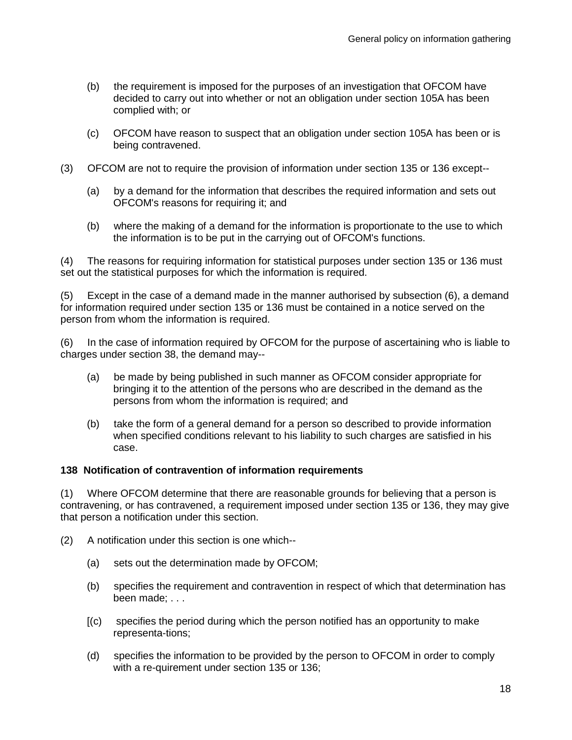- (b) the requirement is imposed for the purposes of an investigation that OFCOM have decided to carry out into whether or not an obligation under section 105A has been complied with; or
- (c) OFCOM have reason to suspect that an obligation under section 105A has been or is being contravened.
- (3) OFCOM are not to require the provision of information under section 135 or 136 except--
	- (a) by a demand for the information that describes the required information and sets out OFCOM's reasons for requiring it; and
	- (b) where the making of a demand for the information is proportionate to the use to which the information is to be put in the carrying out of OFCOM's functions.

(4) The reasons for requiring information for statistical purposes under section 135 or 136 must set out the statistical purposes for which the information is required.

(5) Except in the case of a demand made in the manner authorised by subsection (6), a demand for information required under section 135 or 136 must be contained in a notice served on the person from whom the information is required.

(6) In the case of information required by OFCOM for the purpose of ascertaining who is liable to charges under section 38, the demand may--

- (a) be made by being published in such manner as OFCOM consider appropriate for bringing it to the attention of the persons who are described in the demand as the persons from whom the information is required; and
- (b) take the form of a general demand for a person so described to provide information when specified conditions relevant to his liability to such charges are satisfied in his case.

## **138 Notification of contravention of information requirements**

(1) Where OFCOM determine that there are reasonable grounds for believing that a person is contravening, or has contravened, a requirement imposed under section 135 or 136, they may give that person a notification under this section.

- (2) A notification under this section is one which--
	- (a) sets out the determination made by OFCOM;
	- (b) specifies the requirement and contravention in respect of which that determination has been made; . . .
	- [(c) specifies the period during which the person notified has an opportunity to make representa-tions;
	- (d) specifies the information to be provided by the person to OFCOM in order to comply with a re-quirement under section 135 or 136;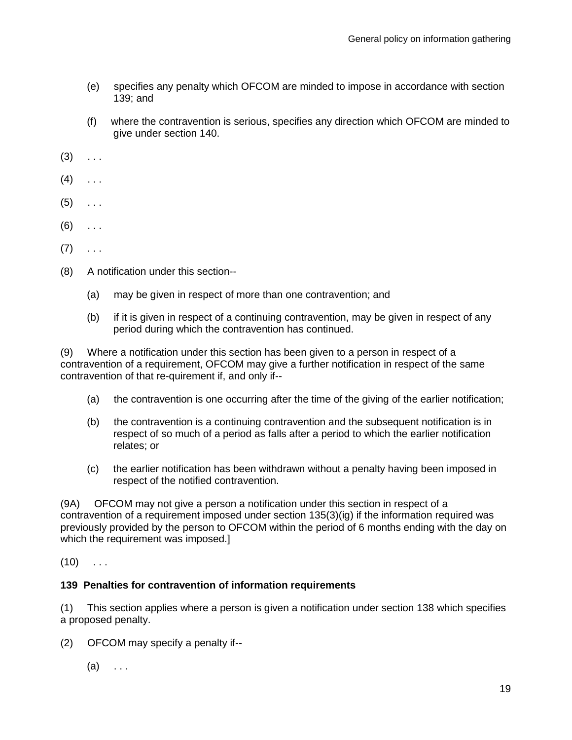- (e) specifies any penalty which OFCOM are minded to impose in accordance with section 139; and
- (f) where the contravention is serious, specifies any direction which OFCOM are minded to give under section 140.
- $(3) \quad . \quad .$
- $(4)$  . . .
- $(5)$  ...
- $(6)$  ...
- $(7) \quad \ldots$
- (8) A notification under this section--
	- (a) may be given in respect of more than one contravention; and
	- (b) if it is given in respect of a continuing contravention, may be given in respect of any period during which the contravention has continued.

(9) Where a notification under this section has been given to a person in respect of a contravention of a requirement, OFCOM may give a further notification in respect of the same contravention of that re-quirement if, and only if--

- (a) the contravention is one occurring after the time of the giving of the earlier notification;
- (b) the contravention is a continuing contravention and the subsequent notification is in respect of so much of a period as falls after a period to which the earlier notification relates; or
- (c) the earlier notification has been withdrawn without a penalty having been imposed in respect of the notified contravention.

(9A) OFCOM may not give a person a notification under this section in respect of a contravention of a requirement imposed under section 135(3)(ig) if the information required was previously provided by the person to OFCOM within the period of 6 months ending with the day on which the requirement was imposed.]

 $(10)$  ...

## **139 Penalties for contravention of information requirements**

(1) This section applies where a person is given a notification under section 138 which specifies a proposed penalty.

- (2) OFCOM may specify a penalty if--
	- $(a) \quad \ldots$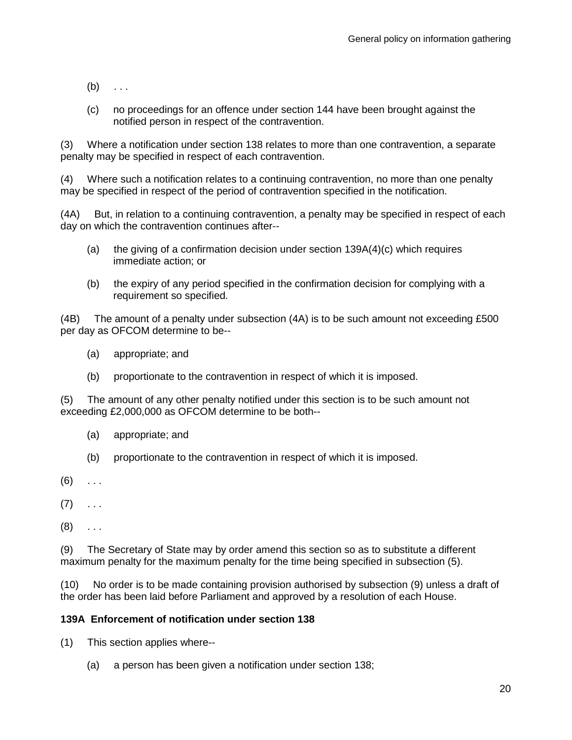- $(b) \ldots$
- (c) no proceedings for an offence under section 144 have been brought against the notified person in respect of the contravention.

(3) Where a notification under section 138 relates to more than one contravention, a separate penalty may be specified in respect of each contravention.

(4) Where such a notification relates to a continuing contravention, no more than one penalty may be specified in respect of the period of contravention specified in the notification.

(4A) But, in relation to a continuing contravention, a penalty may be specified in respect of each day on which the contravention continues after--

- (a) the giving of a confirmation decision under section  $139A(4)(c)$  which requires immediate action; or
- (b) the expiry of any period specified in the confirmation decision for complying with a requirement so specified.

(4B) The amount of a penalty under subsection (4A) is to be such amount not exceeding £500 per day as OFCOM determine to be--

- (a) appropriate; and
- (b) proportionate to the contravention in respect of which it is imposed.

(5) The amount of any other penalty notified under this section is to be such amount not exceeding £2,000,000 as OFCOM determine to be both--

- (a) appropriate; and
- (b) proportionate to the contravention in respect of which it is imposed.
- $(6)$  ...
- $(7) \quad . . .$
- $(8)$  ...

(9) The Secretary of State may by order amend this section so as to substitute a different maximum penalty for the maximum penalty for the time being specified in subsection (5).

(10) No order is to be made containing provision authorised by subsection (9) unless a draft of the order has been laid before Parliament and approved by a resolution of each House.

## **139A Enforcement of notification under section 138**

- (1) This section applies where--
	- (a) a person has been given a notification under section 138;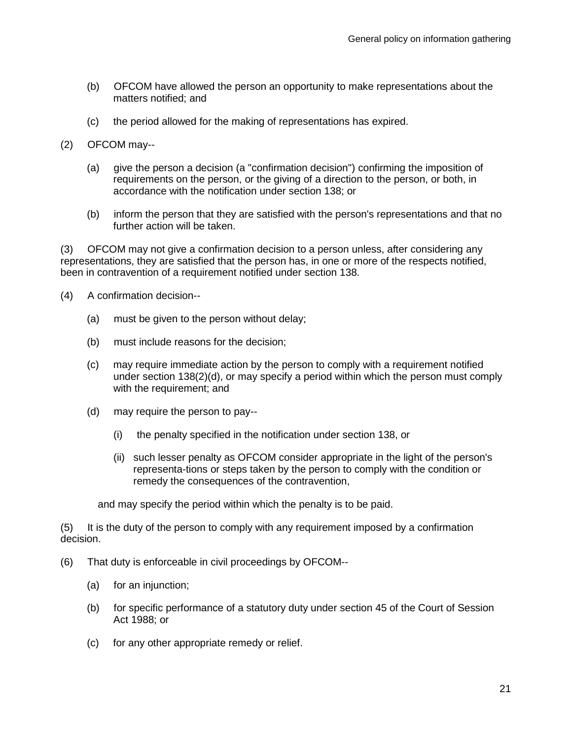- (b) OFCOM have allowed the person an opportunity to make representations about the matters notified; and
- (c) the period allowed for the making of representations has expired.
- (2) OFCOM may--
	- (a) give the person a decision (a "confirmation decision") confirming the imposition of requirements on the person, or the giving of a direction to the person, or both, in accordance with the notification under section 138; or
	- (b) inform the person that they are satisfied with the person's representations and that no further action will be taken.

(3) OFCOM may not give a confirmation decision to a person unless, after considering any representations, they are satisfied that the person has, in one or more of the respects notified, been in contravention of a requirement notified under section 138.

- (4) A confirmation decision--
	- (a) must be given to the person without delay;
	- (b) must include reasons for the decision;
	- (c) may require immediate action by the person to comply with a requirement notified under section 138(2)(d), or may specify a period within which the person must comply with the requirement; and
	- (d) may require the person to pay--
		- (i) the penalty specified in the notification under section 138, or
		- (ii) such lesser penalty as OFCOM consider appropriate in the light of the person's representa-tions or steps taken by the person to comply with the condition or remedy the consequences of the contravention,

and may specify the period within which the penalty is to be paid.

(5) It is the duty of the person to comply with any requirement imposed by a confirmation decision.

- (6) That duty is enforceable in civil proceedings by OFCOM--
	- (a) for an injunction;
	- (b) for specific performance of a statutory duty under section 45 of the Court of Session Act 1988; or
	- (c) for any other appropriate remedy or relief.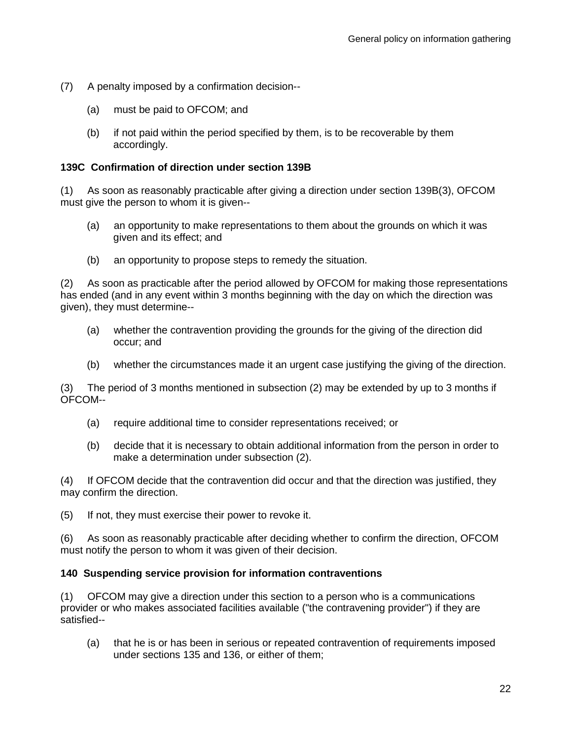- (7) A penalty imposed by a confirmation decision--
	- (a) must be paid to OFCOM; and
	- (b) if not paid within the period specified by them, is to be recoverable by them accordingly.

## **139C Confirmation of direction under section 139B**

(1) As soon as reasonably practicable after giving a direction under section 139B(3), OFCOM must give the person to whom it is given--

- (a) an opportunity to make representations to them about the grounds on which it was given and its effect; and
- (b) an opportunity to propose steps to remedy the situation.

(2) As soon as practicable after the period allowed by OFCOM for making those representations has ended (and in any event within 3 months beginning with the day on which the direction was given), they must determine--

- (a) whether the contravention providing the grounds for the giving of the direction did occur; and
- (b) whether the circumstances made it an urgent case justifying the giving of the direction.

(3) The period of 3 months mentioned in subsection (2) may be extended by up to 3 months if OFCOM--

- (a) require additional time to consider representations received; or
- (b) decide that it is necessary to obtain additional information from the person in order to make a determination under subsection (2).

(4) If OFCOM decide that the contravention did occur and that the direction was justified, they may confirm the direction.

(5) If not, they must exercise their power to revoke it.

(6) As soon as reasonably practicable after deciding whether to confirm the direction, OFCOM must notify the person to whom it was given of their decision.

## **140 Suspending service provision for information contraventions**

(1) OFCOM may give a direction under this section to a person who is a communications provider or who makes associated facilities available ("the contravening provider") if they are satisfied--

(a) that he is or has been in serious or repeated contravention of requirements imposed under sections 135 and 136, or either of them;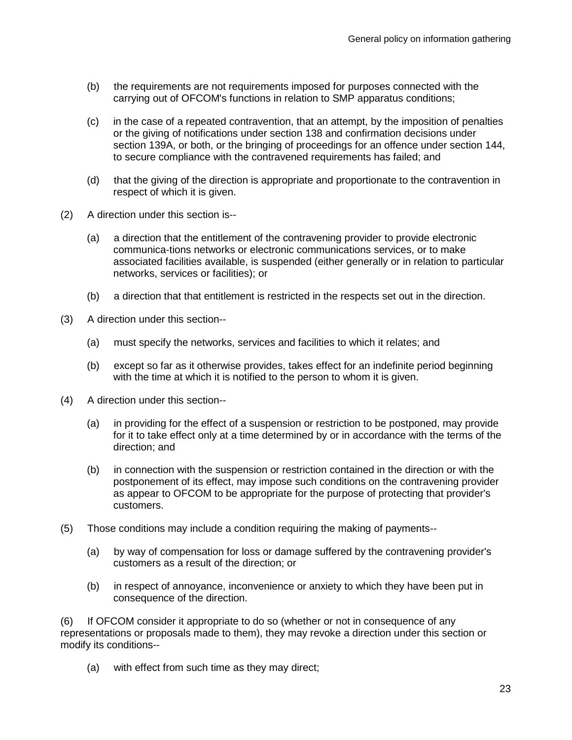- (b) the requirements are not requirements imposed for purposes connected with the carrying out of OFCOM's functions in relation to SMP apparatus conditions;
- (c) in the case of a repeated contravention, that an attempt, by the imposition of penalties or the giving of notifications under section 138 and confirmation decisions under section 139A, or both, or the bringing of proceedings for an offence under section 144, to secure compliance with the contravened requirements has failed; and
- (d) that the giving of the direction is appropriate and proportionate to the contravention in respect of which it is given.
- (2) A direction under this section is--
	- (a) a direction that the entitlement of the contravening provider to provide electronic communica-tions networks or electronic communications services, or to make associated facilities available, is suspended (either generally or in relation to particular networks, services or facilities); or
	- (b) a direction that that entitlement is restricted in the respects set out in the direction.
- (3) A direction under this section--
	- (a) must specify the networks, services and facilities to which it relates; and
	- (b) except so far as it otherwise provides, takes effect for an indefinite period beginning with the time at which it is notified to the person to whom it is given.
- (4) A direction under this section--
	- (a) in providing for the effect of a suspension or restriction to be postponed, may provide for it to take effect only at a time determined by or in accordance with the terms of the direction; and
	- (b) in connection with the suspension or restriction contained in the direction or with the postponement of its effect, may impose such conditions on the contravening provider as appear to OFCOM to be appropriate for the purpose of protecting that provider's customers.
- (5) Those conditions may include a condition requiring the making of payments--
	- (a) by way of compensation for loss or damage suffered by the contravening provider's customers as a result of the direction; or
	- (b) in respect of annoyance, inconvenience or anxiety to which they have been put in consequence of the direction.

(6) If OFCOM consider it appropriate to do so (whether or not in consequence of any representations or proposals made to them), they may revoke a direction under this section or modify its conditions--

(a) with effect from such time as they may direct;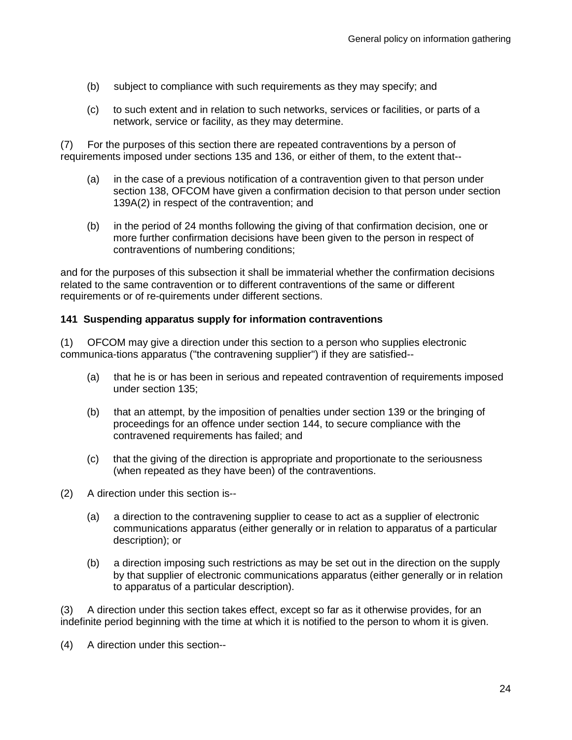- (b) subject to compliance with such requirements as they may specify; and
- (c) to such extent and in relation to such networks, services or facilities, or parts of a network, service or facility, as they may determine.

(7) For the purposes of this section there are repeated contraventions by a person of requirements imposed under sections 135 and 136, or either of them, to the extent that--

- (a) in the case of a previous notification of a contravention given to that person under section 138, OFCOM have given a confirmation decision to that person under section 139A(2) in respect of the contravention; and
- (b) in the period of 24 months following the giving of that confirmation decision, one or more further confirmation decisions have been given to the person in respect of contraventions of numbering conditions;

and for the purposes of this subsection it shall be immaterial whether the confirmation decisions related to the same contravention or to different contraventions of the same or different requirements or of re-quirements under different sections.

## **141 Suspending apparatus supply for information contraventions**

(1) OFCOM may give a direction under this section to a person who supplies electronic communica-tions apparatus ("the contravening supplier") if they are satisfied--

- (a) that he is or has been in serious and repeated contravention of requirements imposed under section 135;
- (b) that an attempt, by the imposition of penalties under section 139 or the bringing of proceedings for an offence under section 144, to secure compliance with the contravened requirements has failed; and
- (c) that the giving of the direction is appropriate and proportionate to the seriousness (when repeated as they have been) of the contraventions.
- (2) A direction under this section is--
	- (a) a direction to the contravening supplier to cease to act as a supplier of electronic communications apparatus (either generally or in relation to apparatus of a particular description); or
	- (b) a direction imposing such restrictions as may be set out in the direction on the supply by that supplier of electronic communications apparatus (either generally or in relation to apparatus of a particular description).

(3) A direction under this section takes effect, except so far as it otherwise provides, for an indefinite period beginning with the time at which it is notified to the person to whom it is given.

(4) A direction under this section--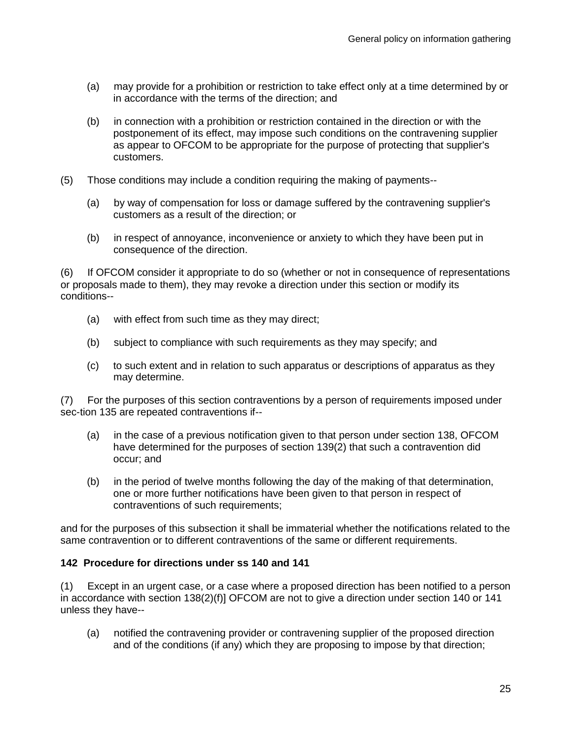- (a) may provide for a prohibition or restriction to take effect only at a time determined by or in accordance with the terms of the direction; and
- (b) in connection with a prohibition or restriction contained in the direction or with the postponement of its effect, may impose such conditions on the contravening supplier as appear to OFCOM to be appropriate for the purpose of protecting that supplier's customers.
- (5) Those conditions may include a condition requiring the making of payments--
	- (a) by way of compensation for loss or damage suffered by the contravening supplier's customers as a result of the direction; or
	- (b) in respect of annoyance, inconvenience or anxiety to which they have been put in consequence of the direction.

(6) If OFCOM consider it appropriate to do so (whether or not in consequence of representations or proposals made to them), they may revoke a direction under this section or modify its conditions--

- (a) with effect from such time as they may direct;
- (b) subject to compliance with such requirements as they may specify; and
- (c) to such extent and in relation to such apparatus or descriptions of apparatus as they may determine.

(7) For the purposes of this section contraventions by a person of requirements imposed under sec-tion 135 are repeated contraventions if--

- (a) in the case of a previous notification given to that person under section 138, OFCOM have determined for the purposes of section 139(2) that such a contravention did occur; and
- (b) in the period of twelve months following the day of the making of that determination, one or more further notifications have been given to that person in respect of contraventions of such requirements;

and for the purposes of this subsection it shall be immaterial whether the notifications related to the same contravention or to different contraventions of the same or different requirements.

## **142 Procedure for directions under ss 140 and 141**

(1) Except in an urgent case, or a case where a proposed direction has been notified to a person in accordance with section 138(2)(f)] OFCOM are not to give a direction under section 140 or 141 unless they have--

(a) notified the contravening provider or contravening supplier of the proposed direction and of the conditions (if any) which they are proposing to impose by that direction;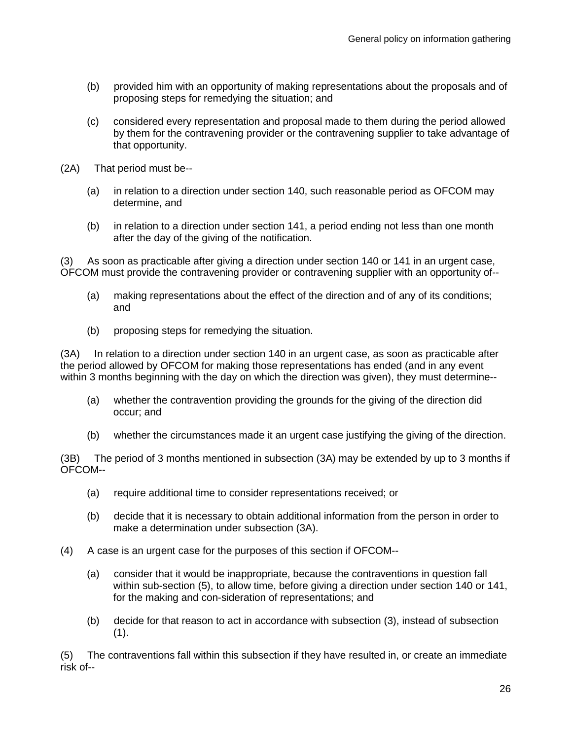- (b) provided him with an opportunity of making representations about the proposals and of proposing steps for remedying the situation; and
- (c) considered every representation and proposal made to them during the period allowed by them for the contravening provider or the contravening supplier to take advantage of that opportunity.
- (2A) That period must be--
	- (a) in relation to a direction under section 140, such reasonable period as OFCOM may determine, and
	- (b) in relation to a direction under section 141, a period ending not less than one month after the day of the giving of the notification.

(3) As soon as practicable after giving a direction under section 140 or 141 in an urgent case, OFCOM must provide the contravening provider or contravening supplier with an opportunity of--

- (a) making representations about the effect of the direction and of any of its conditions; and
- (b) proposing steps for remedying the situation.

(3A) In relation to a direction under section 140 in an urgent case, as soon as practicable after the period allowed by OFCOM for making those representations has ended (and in any event within 3 months beginning with the day on which the direction was given), they must determine--

- (a) whether the contravention providing the grounds for the giving of the direction did occur; and
- (b) whether the circumstances made it an urgent case justifying the giving of the direction.

(3B) The period of 3 months mentioned in subsection (3A) may be extended by up to 3 months if OFCOM--

- (a) require additional time to consider representations received; or
- (b) decide that it is necessary to obtain additional information from the person in order to make a determination under subsection (3A).
- (4) A case is an urgent case for the purposes of this section if OFCOM--
	- (a) consider that it would be inappropriate, because the contraventions in question fall within sub-section (5), to allow time, before giving a direction under section 140 or 141, for the making and con-sideration of representations; and
	- (b) decide for that reason to act in accordance with subsection (3), instead of subsection  $(1).$

(5) The contraventions fall within this subsection if they have resulted in, or create an immediate risk of--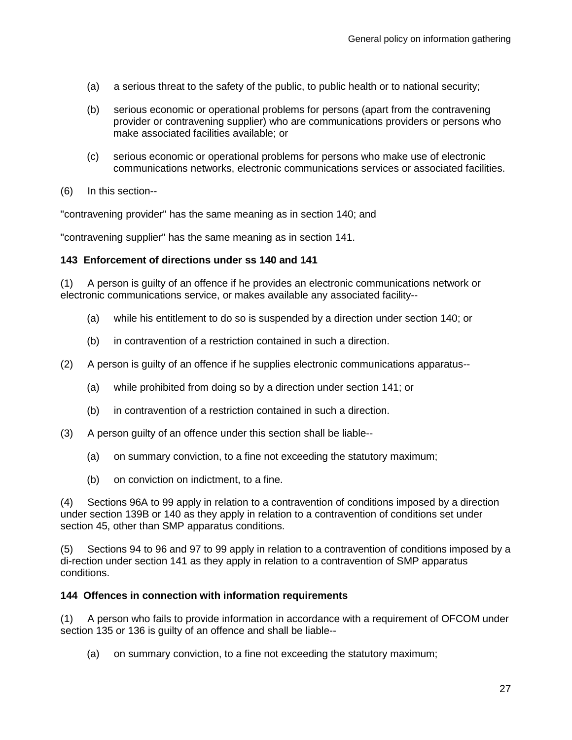- (a) a serious threat to the safety of the public, to public health or to national security;
- (b) serious economic or operational problems for persons (apart from the contravening provider or contravening supplier) who are communications providers or persons who make associated facilities available; or
- (c) serious economic or operational problems for persons who make use of electronic communications networks, electronic communications services or associated facilities.
- (6) In this section--

"contravening provider" has the same meaning as in section 140; and

"contravening supplier" has the same meaning as in section 141.

## **143 Enforcement of directions under ss 140 and 141**

(1) A person is guilty of an offence if he provides an electronic communications network or electronic communications service, or makes available any associated facility--

- (a) while his entitlement to do so is suspended by a direction under section 140; or
- (b) in contravention of a restriction contained in such a direction.
- (2) A person is guilty of an offence if he supplies electronic communications apparatus--
	- (a) while prohibited from doing so by a direction under section 141; or
	- (b) in contravention of a restriction contained in such a direction.
- (3) A person guilty of an offence under this section shall be liable--
	- (a) on summary conviction, to a fine not exceeding the statutory maximum;
	- (b) on conviction on indictment, to a fine.

(4) Sections 96A to 99 apply in relation to a contravention of conditions imposed by a direction under section 139B or 140 as they apply in relation to a contravention of conditions set under section 45, other than SMP apparatus conditions.

(5) Sections 94 to 96 and 97 to 99 apply in relation to a contravention of conditions imposed by a di-rection under section 141 as they apply in relation to a contravention of SMP apparatus conditions.

## **144 Offences in connection with information requirements**

(1) A person who fails to provide information in accordance with a requirement of OFCOM under section 135 or 136 is guilty of an offence and shall be liable--

(a) on summary conviction, to a fine not exceeding the statutory maximum;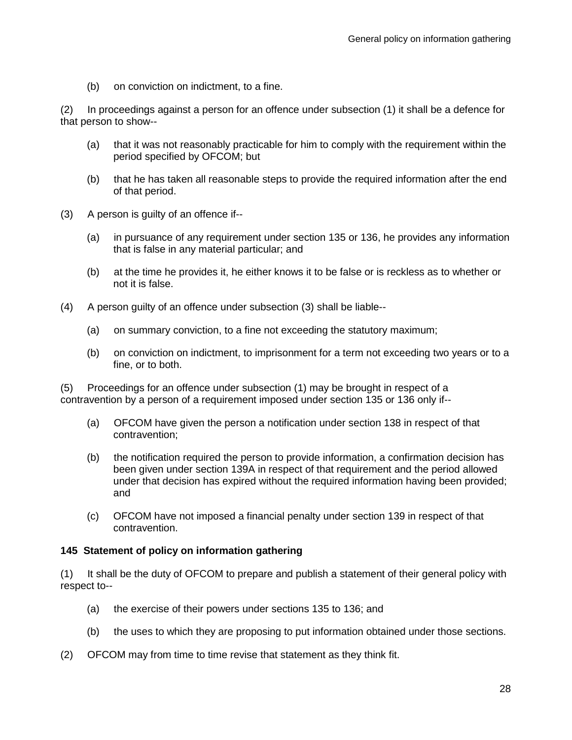(b) on conviction on indictment, to a fine.

(2) In proceedings against a person for an offence under subsection (1) it shall be a defence for that person to show--

- (a) that it was not reasonably practicable for him to comply with the requirement within the period specified by OFCOM; but
- (b) that he has taken all reasonable steps to provide the required information after the end of that period.
- (3) A person is guilty of an offence if--
	- (a) in pursuance of any requirement under section 135 or 136, he provides any information that is false in any material particular; and
	- (b) at the time he provides it, he either knows it to be false or is reckless as to whether or not it is false.
- (4) A person guilty of an offence under subsection (3) shall be liable--
	- (a) on summary conviction, to a fine not exceeding the statutory maximum;
	- (b) on conviction on indictment, to imprisonment for a term not exceeding two years or to a fine, or to both.

(5) Proceedings for an offence under subsection (1) may be brought in respect of a contravention by a person of a requirement imposed under section 135 or 136 only if--

- (a) OFCOM have given the person a notification under section 138 in respect of that contravention;
- (b) the notification required the person to provide information, a confirmation decision has been given under section 139A in respect of that requirement and the period allowed under that decision has expired without the required information having been provided; and
- (c) OFCOM have not imposed a financial penalty under section 139 in respect of that contravention.

## **145 Statement of policy on information gathering**

(1) It shall be the duty of OFCOM to prepare and publish a statement of their general policy with respect to--

- (a) the exercise of their powers under sections 135 to 136; and
- (b) the uses to which they are proposing to put information obtained under those sections.
- (2) OFCOM may from time to time revise that statement as they think fit.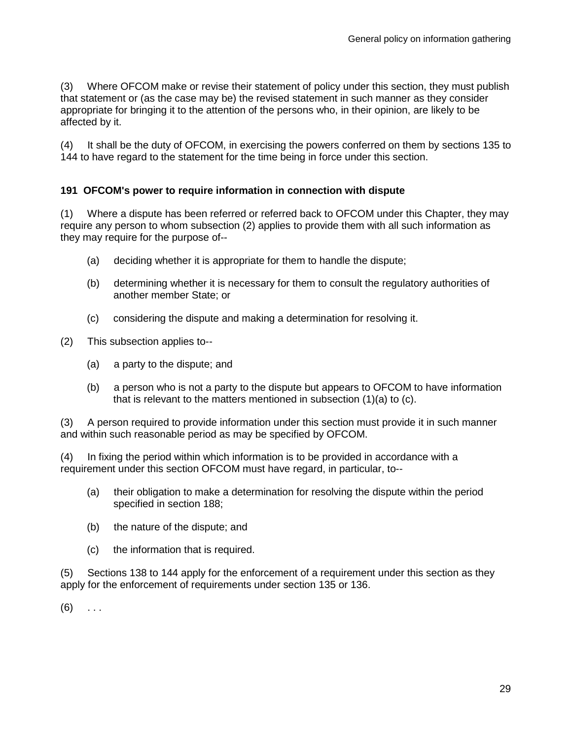(3) Where OFCOM make or revise their statement of policy under this section, they must publish that statement or (as the case may be) the revised statement in such manner as they consider appropriate for bringing it to the attention of the persons who, in their opinion, are likely to be affected by it.

(4) It shall be the duty of OFCOM, in exercising the powers conferred on them by sections 135 to 144 to have regard to the statement for the time being in force under this section.

## **191 OFCOM's power to require information in connection with dispute**

(1) Where a dispute has been referred or referred back to OFCOM under this Chapter, they may require any person to whom subsection (2) applies to provide them with all such information as they may require for the purpose of--

- (a) deciding whether it is appropriate for them to handle the dispute;
- (b) determining whether it is necessary for them to consult the regulatory authorities of another member State; or
- (c) considering the dispute and making a determination for resolving it.
- (2) This subsection applies to--
	- (a) a party to the dispute; and
	- (b) a person who is not a party to the dispute but appears to OFCOM to have information that is relevant to the matters mentioned in subsection (1)(a) to (c).

(3) A person required to provide information under this section must provide it in such manner and within such reasonable period as may be specified by OFCOM.

(4) In fixing the period within which information is to be provided in accordance with a requirement under this section OFCOM must have regard, in particular, to--

- (a) their obligation to make a determination for resolving the dispute within the period specified in section 188;
- (b) the nature of the dispute; and
- (c) the information that is required.

(5) Sections 138 to 144 apply for the enforcement of a requirement under this section as they apply for the enforcement of requirements under section 135 or 136.

 $(6)$  ...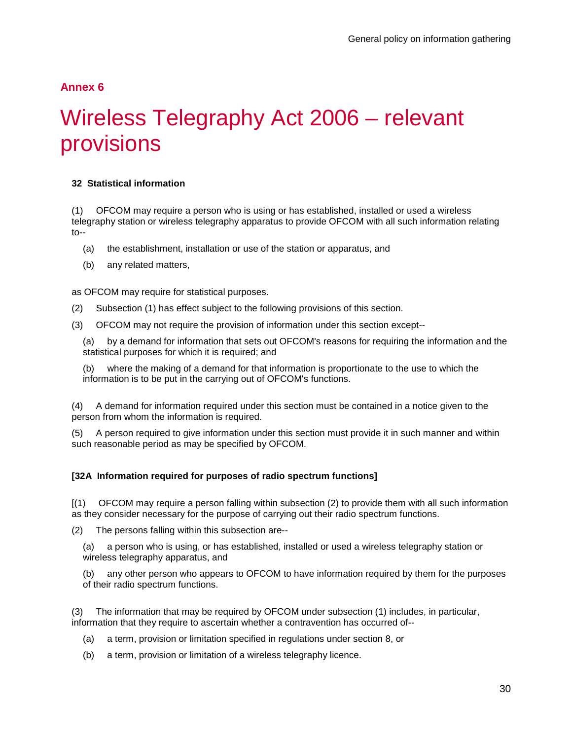## **Annex 6**

# Wireless Telegraphy Act 2006 – relevant provisions

## <span id="page-32-0"></span>**32 Statistical information**

(1) OFCOM may require a person who is using or has established, installed or used a wireless telegraphy station or wireless telegraphy apparatus to provide OFCOM with all such information relating to--

- (a) the establishment, installation or use of the station or apparatus, and
- (b) any related matters,

as OFCOM may require for statistical purposes.

- (2) Subsection (1) has effect subject to the following provisions of this section.
- (3) OFCOM may not require the provision of information under this section except--

(a) by a demand for information that sets out OFCOM's reasons for requiring the information and the statistical purposes for which it is required; and

(b) where the making of a demand for that information is proportionate to the use to which the information is to be put in the carrying out of OFCOM's functions.

(4) A demand for information required under this section must be contained in a notice given to the person from whom the information is required.

(5) A person required to give information under this section must provide it in such manner and within such reasonable period as may be specified by OFCOM.

## **[32A Information required for purposes of radio spectrum functions]**

[(1) OFCOM may require a person falling within subsection (2) to provide them with all such information as they consider necessary for the purpose of carrying out their radio spectrum functions.

(2) The persons falling within this subsection are--

(a) a person who is using, or has established, installed or used a wireless telegraphy station or wireless telegraphy apparatus, and

(b) any other person who appears to OFCOM to have information required by them for the purposes of their radio spectrum functions.

(3) The information that may be required by OFCOM under subsection (1) includes, in particular, information that they require to ascertain whether a contravention has occurred of--

- (a) a term, provision or limitation specified in regulations under section 8, or
- (b) a term, provision or limitation of a wireless telegraphy licence.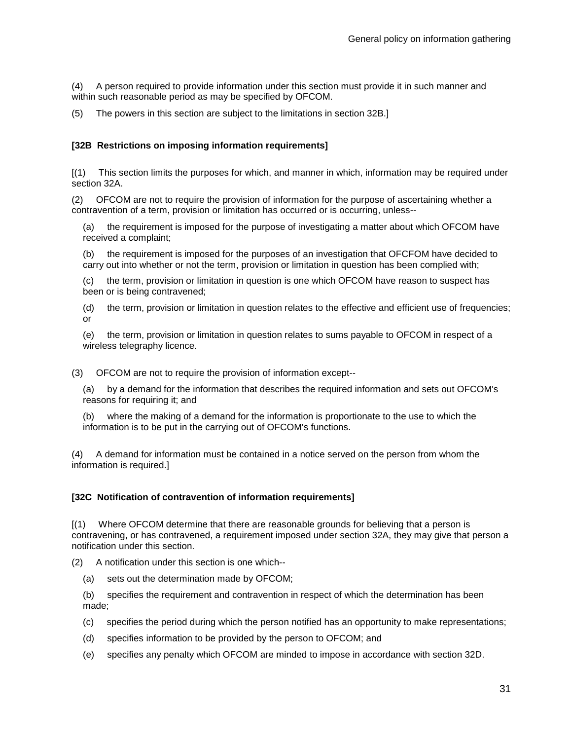(4) A person required to provide information under this section must provide it in such manner and within such reasonable period as may be specified by OFCOM.

(5) The powers in this section are subject to the limitations in section 32B.]

### **[32B Restrictions on imposing information requirements]**

[(1) This section limits the purposes for which, and manner in which, information may be required under section 32A.

(2) OFCOM are not to require the provision of information for the purpose of ascertaining whether a contravention of a term, provision or limitation has occurred or is occurring, unless--

(a) the requirement is imposed for the purpose of investigating a matter about which OFCOM have received a complaint;

(b) the requirement is imposed for the purposes of an investigation that OFCFOM have decided to carry out into whether or not the term, provision or limitation in question has been complied with;

(c) the term, provision or limitation in question is one which OFCOM have reason to suspect has been or is being contravened;

(d) the term, provision or limitation in question relates to the effective and efficient use of frequencies; or

(e) the term, provision or limitation in question relates to sums payable to OFCOM in respect of a wireless telegraphy licence.

(3) OFCOM are not to require the provision of information except--

(a) by a demand for the information that describes the required information and sets out OFCOM's reasons for requiring it; and

where the making of a demand for the information is proportionate to the use to which the information is to be put in the carrying out of OFCOM's functions.

(4) A demand for information must be contained in a notice served on the person from whom the information is required.]

#### **[32C Notification of contravention of information requirements]**

[(1) Where OFCOM determine that there are reasonable grounds for believing that a person is contravening, or has contravened, a requirement imposed under section 32A, they may give that person a notification under this section.

(2) A notification under this section is one which--

(a) sets out the determination made by OFCOM;

(b) specifies the requirement and contravention in respect of which the determination has been made;

- (c) specifies the period during which the person notified has an opportunity to make representations;
- (d) specifies information to be provided by the person to OFCOM; and
- (e) specifies any penalty which OFCOM are minded to impose in accordance with section 32D.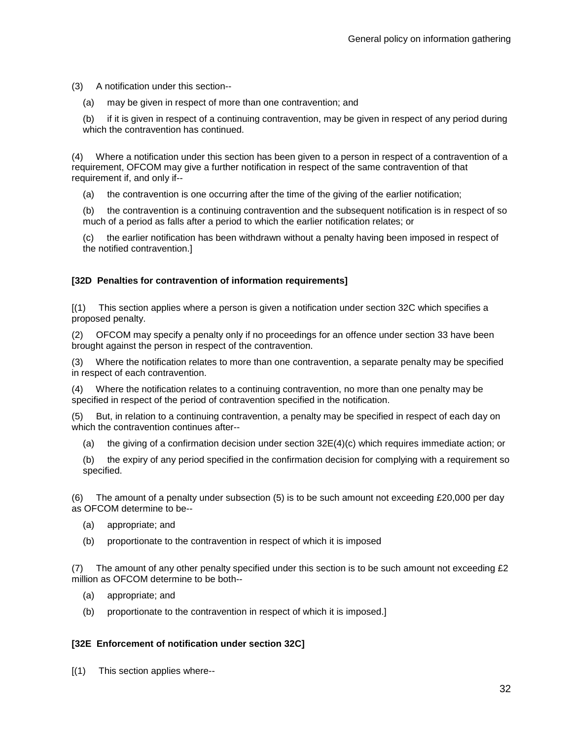(3) A notification under this section--

(a) may be given in respect of more than one contravention; and

(b) if it is given in respect of a continuing contravention, may be given in respect of any period during which the contravention has continued.

(4) Where a notification under this section has been given to a person in respect of a contravention of a requirement, OFCOM may give a further notification in respect of the same contravention of that requirement if, and only if--

(a) the contravention is one occurring after the time of the giving of the earlier notification;

(b) the contravention is a continuing contravention and the subsequent notification is in respect of so much of a period as falls after a period to which the earlier notification relates; or

(c) the earlier notification has been withdrawn without a penalty having been imposed in respect of the notified contravention.]

## **[32D Penalties for contravention of information requirements]**

[(1) This section applies where a person is given a notification under section 32C which specifies a proposed penalty.

(2) OFCOM may specify a penalty only if no proceedings for an offence under section 33 have been brought against the person in respect of the contravention.

(3) Where the notification relates to more than one contravention, a separate penalty may be specified in respect of each contravention.

(4) Where the notification relates to a continuing contravention, no more than one penalty may be specified in respect of the period of contravention specified in the notification.

(5) But, in relation to a continuing contravention, a penalty may be specified in respect of each day on which the contravention continues after--

(a) the giving of a confirmation decision under section  $32E(4)(c)$  which requires immediate action; or

(b) the expiry of any period specified in the confirmation decision for complying with a requirement so specified.

(6) The amount of a penalty under subsection (5) is to be such amount not exceeding £20,000 per day as OFCOM determine to be--

- (a) appropriate; and
- (b) proportionate to the contravention in respect of which it is imposed

(7) The amount of any other penalty specified under this section is to be such amount not exceeding £2 million as OFCOM determine to be both--

- (a) appropriate; and
- (b) proportionate to the contravention in respect of which it is imposed.]

## **[32E Enforcement of notification under section 32C]**

[(1) This section applies where--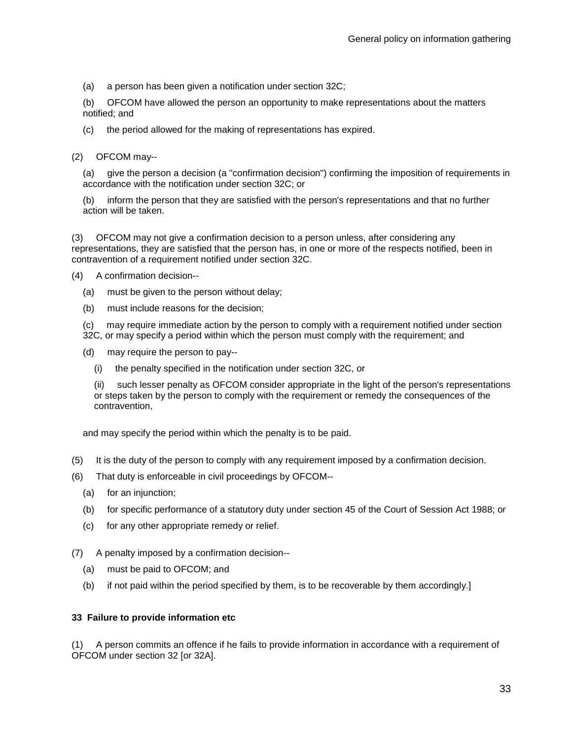(a) a person has been given a notification under section 32C;

(b) OFCOM have allowed the person an opportunity to make representations about the matters notified; and

(c) the period allowed for the making of representations has expired.

(2) OFCOM may--

(a) give the person a decision (a "confirmation decision") confirming the imposition of requirements in accordance with the notification under section 32C; or

(b) inform the person that they are satisfied with the person's representations and that no further action will be taken.

(3) OFCOM may not give a confirmation decision to a person unless, after considering any representations, they are satisfied that the person has, in one or more of the respects notified, been in contravention of a requirement notified under section 32C.

(4) A confirmation decision--

- (a) must be given to the person without delay;
- (b) must include reasons for the decision;

(c) may require immediate action by the person to comply with a requirement notified under section 32C, or may specify a period within which the person must comply with the requirement; and

- (d) may require the person to pay--
	- (i) the penalty specified in the notification under section 32C, or

(ii) such lesser penalty as OFCOM consider appropriate in the light of the person's representations or steps taken by the person to comply with the requirement or remedy the consequences of the contravention,

and may specify the period within which the penalty is to be paid.

- (5) It is the duty of the person to comply with any requirement imposed by a confirmation decision.
- (6) That duty is enforceable in civil proceedings by OFCOM--
	- (a) for an injunction;
	- (b) for specific performance of a statutory duty under section 45 of the Court of Session Act 1988; or
	- (c) for any other appropriate remedy or relief.

(7) A penalty imposed by a confirmation decision--

- (a) must be paid to OFCOM; and
- (b) if not paid within the period specified by them, is to be recoverable by them accordingly.]

#### **33 Failure to provide information etc**

(1) A person commits an offence if he fails to provide information in accordance with a requirement of OFCOM under section 32 [or 32A].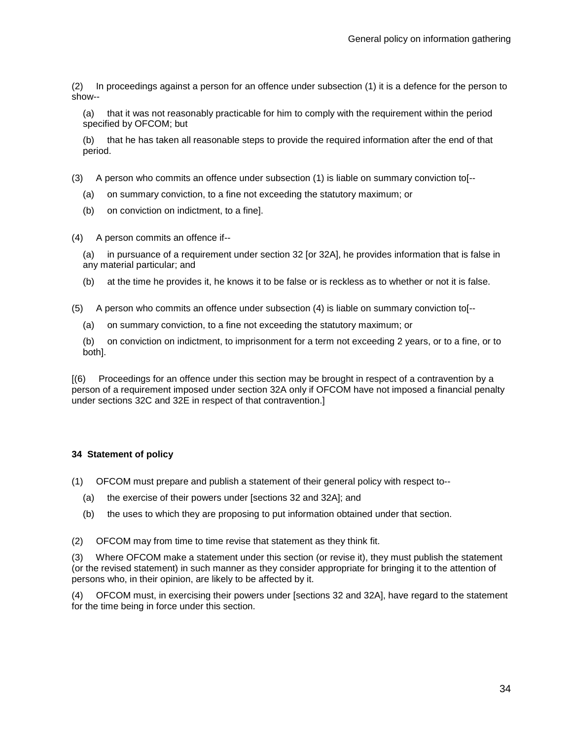(2) In proceedings against a person for an offence under subsection (1) it is a defence for the person to show--

(a) that it was not reasonably practicable for him to comply with the requirement within the period specified by OFCOM; but

(b) that he has taken all reasonable steps to provide the required information after the end of that period.

- (3) A person who commits an offence under subsection (1) is liable on summary conviction to[--
	- (a) on summary conviction, to a fine not exceeding the statutory maximum; or
	- (b) on conviction on indictment, to a fine].

(4) A person commits an offence if--

(a) in pursuance of a requirement under section 32 [or 32A], he provides information that is false in any material particular; and

(b) at the time he provides it, he knows it to be false or is reckless as to whether or not it is false.

(5) A person who commits an offence under subsection (4) is liable on summary conviction to[--

(a) on summary conviction, to a fine not exceeding the statutory maximum; or

(b) on conviction on indictment, to imprisonment for a term not exceeding 2 years, or to a fine, or to both].

[(6) Proceedings for an offence under this section may be brought in respect of a contravention by a person of a requirement imposed under section 32A only if OFCOM have not imposed a financial penalty under sections 32C and 32E in respect of that contravention.]

#### **34 Statement of policy**

- (1) OFCOM must prepare and publish a statement of their general policy with respect to--
	- (a) the exercise of their powers under [sections 32 and 32A]; and
	- (b) the uses to which they are proposing to put information obtained under that section.

(2) OFCOM may from time to time revise that statement as they think fit.

(3) Where OFCOM make a statement under this section (or revise it), they must publish the statement (or the revised statement) in such manner as they consider appropriate for bringing it to the attention of persons who, in their opinion, are likely to be affected by it.

(4) OFCOM must, in exercising their powers under [sections 32 and 32A], have regard to the statement for the time being in force under this section.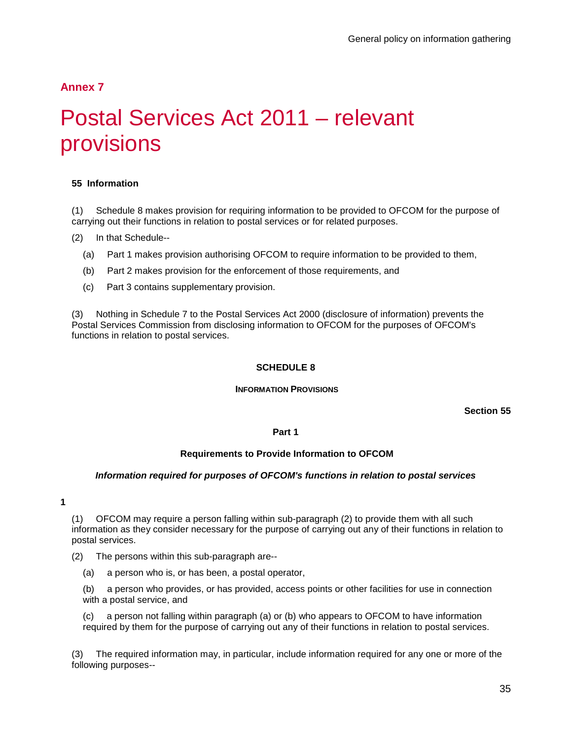# **Annex 7**

# Postal Services Act 2011 – relevant provisions

## <span id="page-37-0"></span>**55 Information**

(1) Schedule 8 makes provision for requiring information to be provided to OFCOM for the purpose of carrying out their functions in relation to postal services or for related purposes.

- (2) In that Schedule--
	- (a) Part 1 makes provision authorising OFCOM to require information to be provided to them,
	- (b) Part 2 makes provision for the enforcement of those requirements, and
	- (c) Part 3 contains supplementary provision.

(3) Nothing in Schedule 7 to the Postal Services Act 2000 (disclosure of information) prevents the Postal Services Commission from disclosing information to OFCOM for the purposes of OFCOM's functions in relation to postal services.

### **SCHEDULE 8**

#### **INFORMATION PROVISIONS**

**Section 55**

### **Part 1**

#### **Requirements to Provide Information to OFCOM**

#### *Information required for purposes of OFCOM's functions in relation to postal services*

**1**

(1) OFCOM may require a person falling within sub-paragraph (2) to provide them with all such information as they consider necessary for the purpose of carrying out any of their functions in relation to postal services.

- (2) The persons within this sub-paragraph are--
	- (a) a person who is, or has been, a postal operator,
	- (b) a person who provides, or has provided, access points or other facilities for use in connection with a postal service, and

(c) a person not falling within paragraph (a) or (b) who appears to OFCOM to have information required by them for the purpose of carrying out any of their functions in relation to postal services.

(3) The required information may, in particular, include information required for any one or more of the following purposes--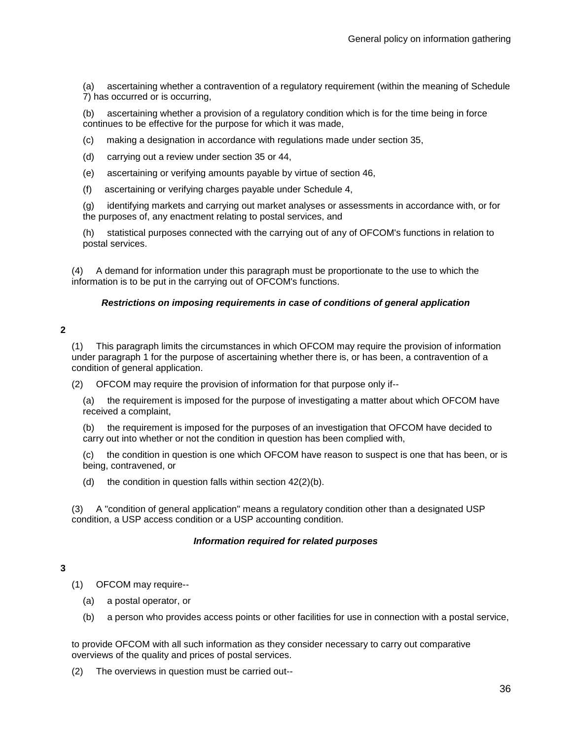(a) ascertaining whether a contravention of a regulatory requirement (within the meaning of Schedule 7) has occurred or is occurring,

(b) ascertaining whether a provision of a regulatory condition which is for the time being in force continues to be effective for the purpose for which it was made,

- (c) making a designation in accordance with regulations made under section 35,
- (d) carrying out a review under section 35 or 44,
- (e) ascertaining or verifying amounts payable by virtue of section 46,
- (f) ascertaining or verifying charges payable under Schedule 4,

(g) identifying markets and carrying out market analyses or assessments in accordance with, or for the purposes of, any enactment relating to postal services, and

(h) statistical purposes connected with the carrying out of any of OFCOM's functions in relation to postal services.

(4) A demand for information under this paragraph must be proportionate to the use to which the information is to be put in the carrying out of OFCOM's functions.

### *Restrictions on imposing requirements in case of conditions of general application*

### **2**

(1) This paragraph limits the circumstances in which OFCOM may require the provision of information under paragraph 1 for the purpose of ascertaining whether there is, or has been, a contravention of a condition of general application.

(2) OFCOM may require the provision of information for that purpose only if--

(a) the requirement is imposed for the purpose of investigating a matter about which OFCOM have received a complaint,

(b) the requirement is imposed for the purposes of an investigation that OFCOM have decided to carry out into whether or not the condition in question has been complied with,

(c) the condition in question is one which OFCOM have reason to suspect is one that has been, or is being, contravened, or

(d) the condition in question falls within section  $42(2)(b)$ .

(3) A "condition of general application" means a regulatory condition other than a designated USP condition, a USP access condition or a USP accounting condition.

#### *Information required for related purposes*

## **3**

(1) OFCOM may require--

- (a) a postal operator, or
- (b) a person who provides access points or other facilities for use in connection with a postal service,

to provide OFCOM with all such information as they consider necessary to carry out comparative overviews of the quality and prices of postal services.

(2) The overviews in question must be carried out--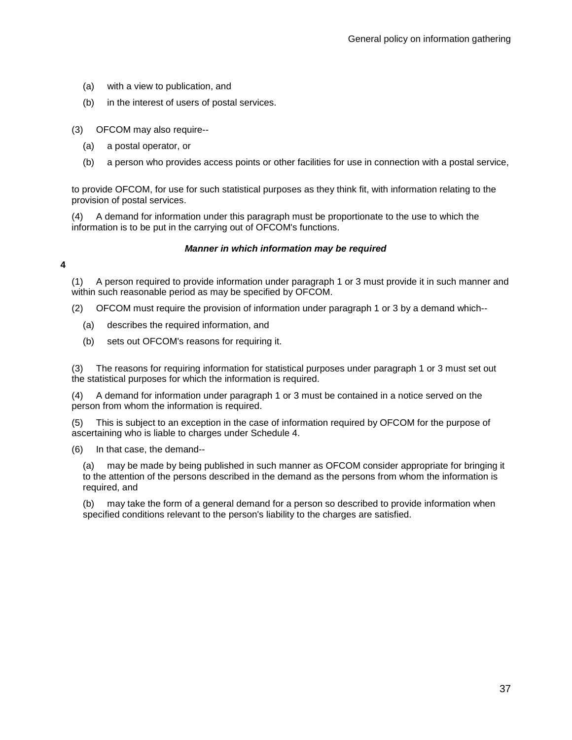- (a) with a view to publication, and
- (b) in the interest of users of postal services.

(3) OFCOM may also require--

- (a) a postal operator, or
- (b) a person who provides access points or other facilities for use in connection with a postal service,

to provide OFCOM, for use for such statistical purposes as they think fit, with information relating to the provision of postal services.

(4) A demand for information under this paragraph must be proportionate to the use to which the information is to be put in the carrying out of OFCOM's functions.

### *Manner in which information may be required*

**4**

(1) A person required to provide information under paragraph 1 or 3 must provide it in such manner and within such reasonable period as may be specified by OFCOM.

- (2) OFCOM must require the provision of information under paragraph 1 or 3 by a demand which--
	- (a) describes the required information, and
	- (b) sets out OFCOM's reasons for requiring it.

(3) The reasons for requiring information for statistical purposes under paragraph 1 or 3 must set out the statistical purposes for which the information is required.

(4) A demand for information under paragraph 1 or 3 must be contained in a notice served on the person from whom the information is required.

(5) This is subject to an exception in the case of information required by OFCOM for the purpose of ascertaining who is liable to charges under Schedule 4.

(6) In that case, the demand--

(a) may be made by being published in such manner as OFCOM consider appropriate for bringing it to the attention of the persons described in the demand as the persons from whom the information is required, and

(b) may take the form of a general demand for a person so described to provide information when specified conditions relevant to the person's liability to the charges are satisfied.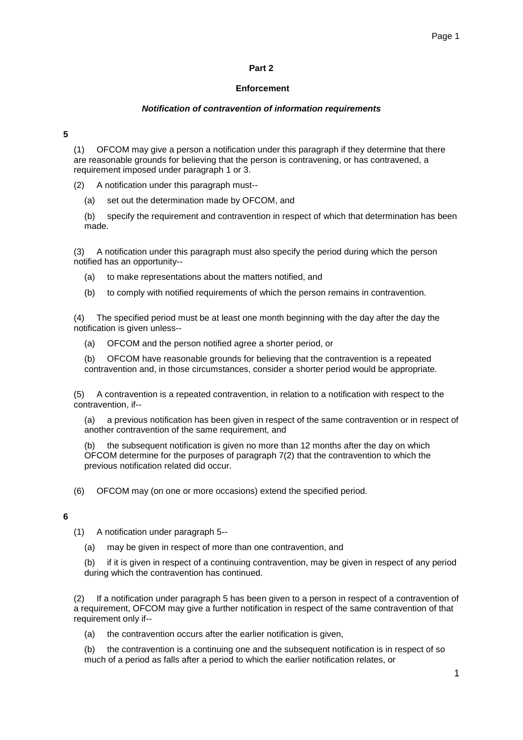### **Part 2**

#### **Enforcement**

#### *Notification of contravention of information requirements*

**5**

(1) OFCOM may give a person a notification under this paragraph if they determine that there are reasonable grounds for believing that the person is contravening, or has contravened, a requirement imposed under paragraph 1 or 3.

(2) A notification under this paragraph must--

(a) set out the determination made by OFCOM, and

(b) specify the requirement and contravention in respect of which that determination has been made.

(3) A notification under this paragraph must also specify the period during which the person notified has an opportunity--

- (a) to make representations about the matters notified, and
- (b) to comply with notified requirements of which the person remains in contravention.

(4) The specified period must be at least one month beginning with the day after the day the notification is given unless--

(a) OFCOM and the person notified agree a shorter period, or

(b) OFCOM have reasonable grounds for believing that the contravention is a repeated contravention and, in those circumstances, consider a shorter period would be appropriate.

(5) A contravention is a repeated contravention, in relation to a notification with respect to the contravention, if--

(a) a previous notification has been given in respect of the same contravention or in respect of another contravention of the same requirement, and

the subsequent notification is given no more than 12 months after the day on which OFCOM determine for the purposes of paragraph 7(2) that the contravention to which the previous notification related did occur.

(6) OFCOM may (on one or more occasions) extend the specified period.

#### **6**

- (1) A notification under paragraph 5--
	- (a) may be given in respect of more than one contravention, and

(b) if it is given in respect of a continuing contravention, may be given in respect of any period during which the contravention has continued.

(2) If a notification under paragraph 5 has been given to a person in respect of a contravention of a requirement, OFCOM may give a further notification in respect of the same contravention of that requirement only if--

(a) the contravention occurs after the earlier notification is given,

(b) the contravention is a continuing one and the subsequent notification is in respect of so much of a period as falls after a period to which the earlier notification relates, or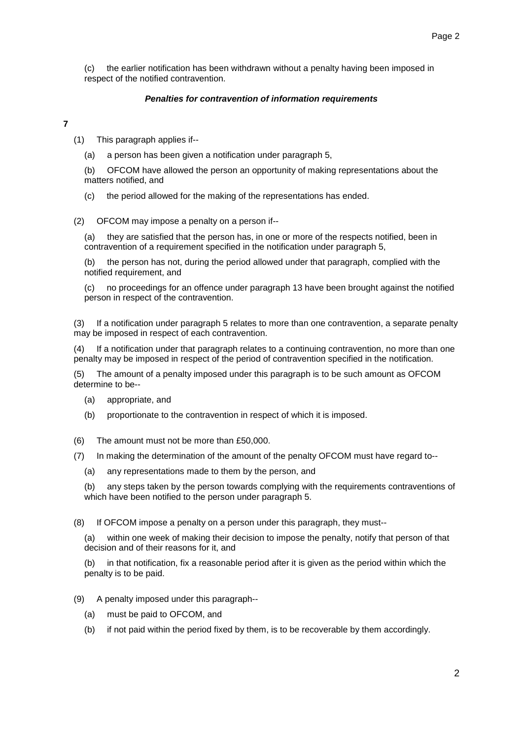(c) the earlier notification has been withdrawn without a penalty having been imposed in respect of the notified contravention.

### *Penalties for contravention of information requirements*

**7**

(1) This paragraph applies if--

(a) a person has been given a notification under paragraph 5,

(b) OFCOM have allowed the person an opportunity of making representations about the matters notified, and

(c) the period allowed for the making of the representations has ended.

(2) OFCOM may impose a penalty on a person if--

(a) they are satisfied that the person has, in one or more of the respects notified, been in contravention of a requirement specified in the notification under paragraph 5,

(b) the person has not, during the period allowed under that paragraph, complied with the notified requirement, and

(c) no proceedings for an offence under paragraph 13 have been brought against the notified person in respect of the contravention.

(3) If a notification under paragraph 5 relates to more than one contravention, a separate penalty may be imposed in respect of each contravention.

(4) If a notification under that paragraph relates to a continuing contravention, no more than one penalty may be imposed in respect of the period of contravention specified in the notification.

(5) The amount of a penalty imposed under this paragraph is to be such amount as OFCOM determine to be--

- (a) appropriate, and
- (b) proportionate to the contravention in respect of which it is imposed.
- (6) The amount must not be more than £50,000.
- (7) In making the determination of the amount of the penalty OFCOM must have regard to--
	- (a) any representations made to them by the person, and

(b) any steps taken by the person towards complying with the requirements contraventions of which have been notified to the person under paragraph 5.

(8) If OFCOM impose a penalty on a person under this paragraph, they must--

(a) within one week of making their decision to impose the penalty, notify that person of that decision and of their reasons for it, and

(b) in that notification, fix a reasonable period after it is given as the period within which the penalty is to be paid.

- (9) A penalty imposed under this paragraph--
	- (a) must be paid to OFCOM, and
	- (b) if not paid within the period fixed by them, is to be recoverable by them accordingly.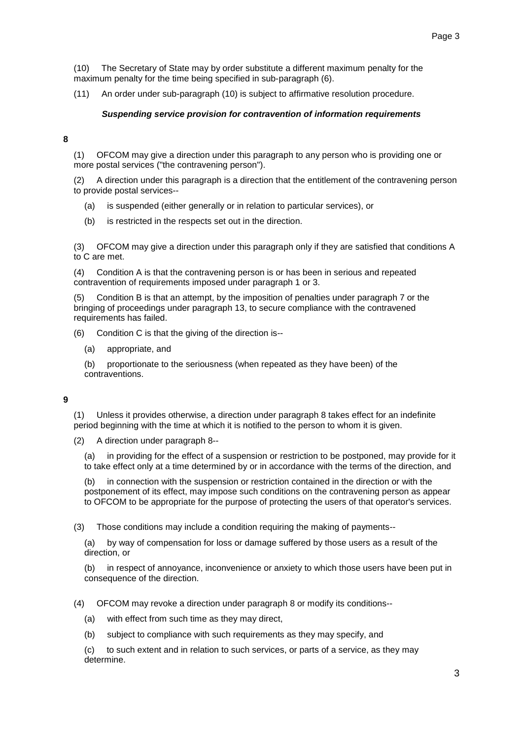(10) The Secretary of State may by order substitute a different maximum penalty for the maximum penalty for the time being specified in sub-paragraph (6).

(11) An order under sub-paragraph (10) is subject to affirmative resolution procedure.

#### *Suspending service provision for contravention of information requirements*

#### **8**

(1) OFCOM may give a direction under this paragraph to any person who is providing one or more postal services ("the contravening person").

(2) A direction under this paragraph is a direction that the entitlement of the contravening person to provide postal services--

- (a) is suspended (either generally or in relation to particular services), or
- (b) is restricted in the respects set out in the direction.

(3) OFCOM may give a direction under this paragraph only if they are satisfied that conditions A to C are met.

(4) Condition A is that the contravening person is or has been in serious and repeated contravention of requirements imposed under paragraph 1 or 3.

Condition B is that an attempt, by the imposition of penalties under paragraph 7 or the bringing of proceedings under paragraph 13, to secure compliance with the contravened requirements has failed.

- (6) Condition C is that the giving of the direction is--
	- (a) appropriate, and

(b) proportionate to the seriousness (when repeated as they have been) of the contraventions.

#### **9**

(1) Unless it provides otherwise, a direction under paragraph 8 takes effect for an indefinite period beginning with the time at which it is notified to the person to whom it is given.

(2) A direction under paragraph 8--

(a) in providing for the effect of a suspension or restriction to be postponed, may provide for it to take effect only at a time determined by or in accordance with the terms of the direction, and

(b) in connection with the suspension or restriction contained in the direction or with the postponement of its effect, may impose such conditions on the contravening person as appear to OFCOM to be appropriate for the purpose of protecting the users of that operator's services.

(3) Those conditions may include a condition requiring the making of payments--

(a) by way of compensation for loss or damage suffered by those users as a result of the direction, or

(b) in respect of annoyance, inconvenience or anxiety to which those users have been put in consequence of the direction.

(4) OFCOM may revoke a direction under paragraph 8 or modify its conditions--

- (a) with effect from such time as they may direct,
- (b) subject to compliance with such requirements as they may specify, and

(c) to such extent and in relation to such services, or parts of a service, as they may determine.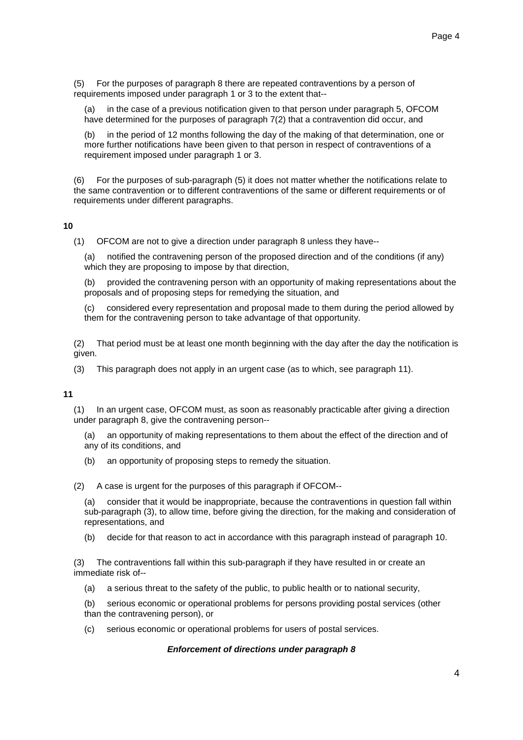(5) For the purposes of paragraph 8 there are repeated contraventions by a person of requirements imposed under paragraph 1 or 3 to the extent that--

(a) in the case of a previous notification given to that person under paragraph 5, OFCOM have determined for the purposes of paragraph 7(2) that a contravention did occur, and

(b) in the period of 12 months following the day of the making of that determination, one or more further notifications have been given to that person in respect of contraventions of a requirement imposed under paragraph 1 or 3.

(6) For the purposes of sub-paragraph (5) it does not matter whether the notifications relate to the same contravention or to different contraventions of the same or different requirements or of requirements under different paragraphs.

#### **10**

(1) OFCOM are not to give a direction under paragraph 8 unless they have--

(a) notified the contravening person of the proposed direction and of the conditions (if any) which they are proposing to impose by that direction,

(b) provided the contravening person with an opportunity of making representations about the proposals and of proposing steps for remedying the situation, and

(c) considered every representation and proposal made to them during the period allowed by them for the contravening person to take advantage of that opportunity.

(2) That period must be at least one month beginning with the day after the day the notification is given.

(3) This paragraph does not apply in an urgent case (as to which, see paragraph 11).

**11**

(1) In an urgent case, OFCOM must, as soon as reasonably practicable after giving a direction under paragraph 8, give the contravening person--

(a) an opportunity of making representations to them about the effect of the direction and of any of its conditions, and

(b) an opportunity of proposing steps to remedy the situation.

(2) A case is urgent for the purposes of this paragraph if OFCOM--

(a) consider that it would be inappropriate, because the contraventions in question fall within sub-paragraph (3), to allow time, before giving the direction, for the making and consideration of representations, and

(b) decide for that reason to act in accordance with this paragraph instead of paragraph 10.

(3) The contraventions fall within this sub-paragraph if they have resulted in or create an immediate risk of--

(a) a serious threat to the safety of the public, to public health or to national security,

(b) serious economic or operational problems for persons providing postal services (other than the contravening person), or

(c) serious economic or operational problems for users of postal services.

#### *Enforcement of directions under paragraph 8*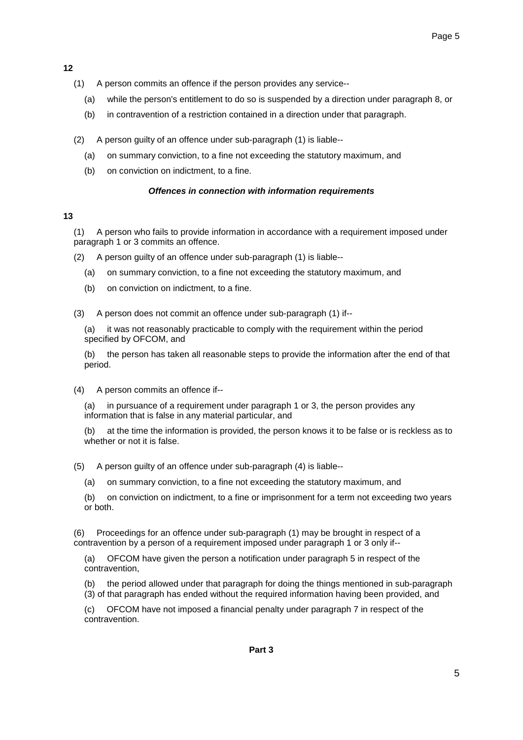**12**

- (1) A person commits an offence if the person provides any service--
	- (a) while the person's entitlement to do so is suspended by a direction under paragraph 8, or
	- (b) in contravention of a restriction contained in a direction under that paragraph.
- (2) A person guilty of an offence under sub-paragraph (1) is liable--
	- (a) on summary conviction, to a fine not exceeding the statutory maximum, and
	- (b) on conviction on indictment, to a fine.

## *Offences in connection with information requirements*

## **13**

(1) A person who fails to provide information in accordance with a requirement imposed under paragraph 1 or 3 commits an offence.

- (2) A person guilty of an offence under sub-paragraph (1) is liable--
	- (a) on summary conviction, to a fine not exceeding the statutory maximum, and
	- (b) on conviction on indictment, to a fine.

(3) A person does not commit an offence under sub-paragraph (1) if--

(a) it was not reasonably practicable to comply with the requirement within the period specified by OFCOM, and

(b) the person has taken all reasonable steps to provide the information after the end of that period.

(4) A person commits an offence if--

(a) in pursuance of a requirement under paragraph 1 or 3, the person provides any information that is false in any material particular, and

(b) at the time the information is provided, the person knows it to be false or is reckless as to whether or not it is false.

(5) A person guilty of an offence under sub-paragraph (4) is liable--

- (a) on summary conviction, to a fine not exceeding the statutory maximum, and
- (b) on conviction on indictment, to a fine or imprisonment for a term not exceeding two years or both.

Proceedings for an offence under sub-paragraph (1) may be brought in respect of a contravention by a person of a requirement imposed under paragraph 1 or 3 only if--

(a) OFCOM have given the person a notification under paragraph 5 in respect of the contravention,

(b) the period allowed under that paragraph for doing the things mentioned in sub-paragraph (3) of that paragraph has ended without the required information having been provided, and

(c) OFCOM have not imposed a financial penalty under paragraph 7 in respect of the contravention.